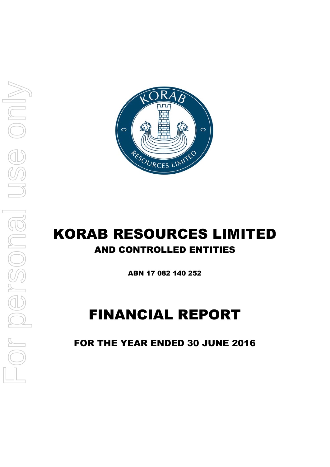

## KORAB RESOURCES LIMITED AND CONTROLLED ENTITIES

ABN 17 082 140 252

# FINANCIAL REPORT

FOR THE YEAR ENDED 30 JUNE 2016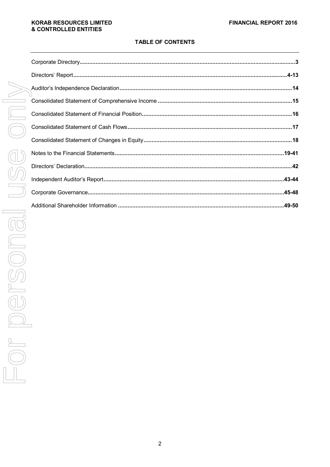#### **KORAB RESOURCES LIMITED & CONTROLLED ENTITIES**

## **TABLE OF CONTENTS**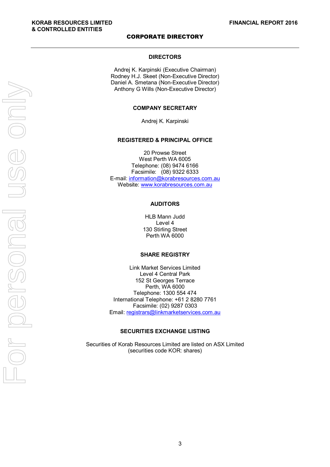## CORPORATE DIRECTORY

#### **DIRECTORS**

Andrej K. Karpinski (Executive Chairman) Rodney H.J. Skeet (Non-Executive Director) Daniel A. Smetana (Non-Executive Director) Anthony G Wills (Non-Executive Director)

#### **COMPANY SECRETARY**

Andrej K. Karpinski

#### **REGISTERED & PRINCIPAL OFFICE**

20 Prowse Street West Perth WA 6005 Telephone: (08) 9474 6166 Facsimile: (08) 9322 6333 E-mail: information@korabresources.com.au Website: www.korabresources.com.au

## **AUDITORS**

HLB Mann Judd Level 4 130 Stirling Street Perth WA 6000

#### **SHARE REGISTRY**

Link Market Services Limited Level 4 Central Park 152 St Georges Terrace Perth, WA 6000 Telephone: 1300 554 474 International Telephone: +61 2 8280 7761 Facsimile: (02) 9287 0303 Email: registrars@linkmarketservices.com.au

#### **SECURITIES EXCHANGE LISTING**

Securities of Korab Resources Limited are listed on ASX Limited (securities code KOR: shares)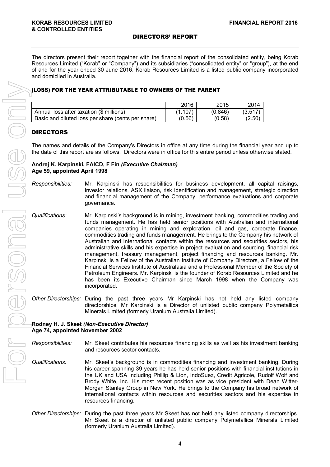The directors present their report together with the financial report of the consolidated entity, being Korab Resources Limited ("Korab" or "Company") and its subsidiaries ("consolidated entity" or "group"), at the end of and for the year ended 30 June 2016. Korab Resources Limited is a listed public company incorporated and domiciled in Australia.

## (LOSS) FOR THE YEAR ATTRIBUTABLE TO OWNERS OF THE PARENT

|                                                    | 2016   | 2015    | 2014    |
|----------------------------------------------------|--------|---------|---------|
| Annual loss after taxation (\$ millions)           | .107   | (0.846) | (3.517) |
| Basic and diluted loss per share (cents per share) | (0.56) | (0.58)  | (2.50)  |

## DIRECTORS

The names and details of the Company's Directors in office at any time during the financial year and up to the date of this report are as follows. Directors were in office for this entire period unless otherwise stated.

## **Andrej K. Karpinski, FAICD, F Fin** *(Executive Chairman)*  **Age 59, appointed April 1998**

- *Responsibilities:* Mr. Karpinski has responsibilities for business development, all capital raisings, investor relations, ASX liaison, risk identification and management, strategic direction and financial management of the Company, performance evaluations and corporate governance.
- *Qualifications:* Mr. Karpinski's background is in mining, investment banking, commodities trading and funds management. He has held senior positions with Australian and international companies operating in mining and exploration, oil and gas, corporate finance, commodities trading and funds management. He brings to the Company his network of Australian and international contacts within the resources and securities sectors, his administrative skills and his expertise in project evaluation and sourcing, financial risk management, treasury management, project financing and resources banking. Mr. Karpinski is a Fellow of the Australian Institute of Company Directors, a Fellow of the Financial Services Institute of Australasia and a Professional Member of the Society of Petroleum Engineers. Mr. Karpinski is the founder of Korab Resources Limited and he has been its Executive Chairman since March 1998 when the Company was incorporated.
- *Other Directorships:* During the past three years Mr Karpinski has not held any listed company directorships. Mr Karpinski is a Director of unlisted public company Polymetallica Minerals Limited (formerly Uranium Australia Limited).

#### **Rodney H. J. Skeet** *(Non-Executive Director)*  **Age 74, appointed November 2002**

*Responsibilities:* Mr. Skeet contributes his resources financing skills as well as his investment banking and resources sector contacts.

- *Qualifications:* Mr. Skeet's background is in commodities financing and investment banking. During his career spanning 39 years he has held senior positions with financial institutions in the UK and USA including Phillip & Lion, IndoSuez, Credit Agricole, Rudolf Wolf and Brody White, Inc. His most recent position was as vice president with Dean Witter-Morgan Stanley Group in New York. He brings to the Company his broad network of international contacts within resources and securities sectors and his expertise in resources financing.
- *Other Directorships:* During the past three years Mr Skeet has not held any listed company directorships. Mr Skeet is a director of unlisted public company Polymetallica Minerals Limited (formerly Uranium Australia Limited).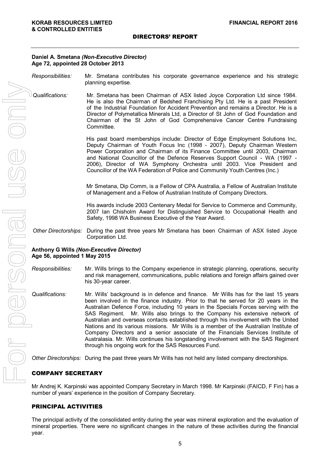#### **Daniel A. Smetana** *(Non-Executive Director)*  **Age 72, appointed 28 October 2013**

*Responsibilities:* Mr. Smetana contributes his corporate governance experience and his strategic planning expertise.

*Qualifications:* Mr. Smetana has been Chairman of ASX listed Joyce Corporation Ltd since 1984. He is also the Chairman of Bedshed Franchising Pty Ltd. He is a past President of the Industrial Foundation for Accident Prevention and remains a Director. He is a Director of Polymetallica Minerals Ltd, a Director of St John of God Foundation and Chairman of the St John of God Comprehensive Cancer Centre Fundraising Committee.

> His past board memberships include: Director of Edge Employment Solutions Inc, Deputy Chairman of Youth Focus Inc (1998 - 2007), Deputy Chairman Western Power Corporation and Chairman of its Finance Committee until 2003, Chairman and National Councillor of the Defence Reserves Support Council - WA (1997 - 2006), Director of WA Symphony Orchestra until 2003. Vice President and Councillor of the WA Federation of Police and Community Youth Centres (Inc.)

> Mr Smetana, Dip Comm, is a Fellow of CPA Australia, a Fellow of Australian Institute of Management and a Fellow of Australian Institute of Company Directors.

> His awards include 2003 Centenary Medal for Service to Commerce and Community, 2007 Ian Chisholm Award for Distinguished Service to Occupational Health and Safety, 1998 WA Business Executive of the Year Award.

*Other Directorships:* During the past three years Mr Smetana has been Chairman of ASX listed Joyce Corporation Ltd.

#### **Anthony G Wills** *(Non-Executive Director)*  **Age 56, appointed 1 May 2015**

- *Responsibilities:* Mr. Wills brings to the Company experience in strategic planning, operations, security and risk management, communications, public relations and foreign affairs gained over his 30-year career.
- *Qualifications:* Mr. Wills' background is in defence and finance. Mr Wills has for the last 15 years been involved in the finance industry. Prior to that he served for 20 years in the Australian Defence Force, including 10 years in the Specials Forces serving with the SAS Regiment. Mr. Wills also brings to the Company his extensive network of Australian and overseas contacts established through his involvement with the United Nations and its various missions. Mr Wills is a member of the Australian Institute of Company Directors and a senior associate of the Financials Services Institute of Australasia. Mr. Wills continues his longstanding involvement with the SAS Regiment through his ongoing work for the SAS Resources Fund.

*Other Directorships:* During the past three years Mr Wills has not held any listed company directorships.

## COMPANY SECRETARY

Mr Andrej K. Karpinski was appointed Company Secretary in March 1998. Mr Karpinski (FAICD, F Fin) has a number of years' experience in the position of Company Secretary.

## PRINCIPAL ACTIVITIES

The principal activity of the consolidated entity during the year was mineral exploration and the evaluation of mineral properties. There were no significant changes in the nature of these activities during the financial vear.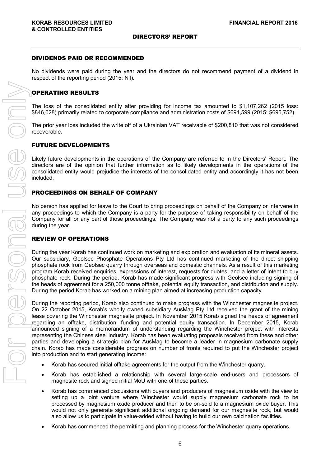#### DIVIDENDS PAID OR RECOMMENDED

No dividends were paid during the year and the directors do not recommend payment of a dividend in respect of the reporting period (2015: Nil).

## OPERATING RESULTS

The loss of the consolidated entity after providing for income tax amounted to \$1,107,262 (2015 loss: \$846,028) primarily related to corporate compliance and administration costs of \$691,599 (2015: \$695,752).

The prior year loss included the write off of a Ukrainian VAT receivable of \$200,810 that was not considered recoverable.

#### FUTURE DEVELOPMENTS

Likely future developments in the operations of the Company are referred to in the Directors' Report. The directors are of the opinion that further information as to likely developments in the operations of the consolidated entity would prejudice the interests of the consolidated entity and accordingly it has not been included.

## PROCEEDINGS ON BEHALF OF COMPANY

No person has applied for leave to the Court to bring proceedings on behalf of the Company or intervene in any proceedings to which the Company is a party for the purpose of taking responsibility on behalf of the Company for all or any part of those proceedings. The Company was not a party to any such proceedings during the year.

## REVIEW OF OPERATIONS

During the year Korab has continued work on marketing and exploration and evaluation of its mineral assets. Our subsidiary, Geolsec Phosphate Operations Pty Ltd has continued marketing of the direct shipping phosphate rock from Geolsec quarry through overseas and domestic channels. As a result of this marketing program Korab received enquiries, expressions of interest, requests for quotes, and a letter of intent to buy phosphate rock. During the period, Korab has made significant progress with Geolsec including signing of the heads of agreement for a 250,000 tonne offtake, potential equity transaction, and distribution and supply. During the period Korab has worked on a mining plan aimed at increasing production capacity.

During the reporting period, Korab also continued to make progress with the Winchester magnesite project. On 22 October 2015, Korab's wholly owned subsidiary AusMag Pty Ltd received the grant of the mining lease covering the Winchester magnesite project. In November 2015 Korab signed the heads of agreement regarding an offtake, distribution, funding and potential equity transaction. In December 2015, Korab announced signing of a memorandum of understanding regarding the Winchester project with interests representing the Chinese steel industry. Korab has been evaluating proposals received from these and other parties and developing a strategic plan for AusMag to become a leader in magnesium carbonate supply chain. Korab has made considerable progress on number of fronts required to put the Winchester project into production and to start generating income:

- Korab has secured initial offtake agreements for the output from the Winchester quarry.
- Korab has established a relationship with several large-scale end-users and processors of magnesite rock and signed initial MoU with one of these parties.
- Korab has commenced discussions with buyers and producers of magnesium oxide with the view to setting up a joint venture where Winchester would supply magnesium carbonate rock to be processed by magnesium oxide producer and then to be on-sold to a magnesium oxide buyer. This would not only generate significant additional ongoing demand for our magnesite rock, but would also allow us to participate in value-added without having to build our own calcination facilities.
- Korab has commenced the permitting and planning process for the Winchester quarry operations.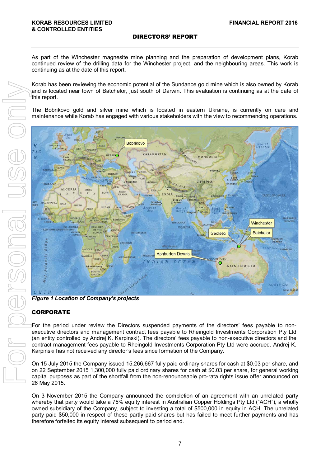As part of the Winchester magnesite mine planning and the preparation of development plans, Korab continued review of the drilling data for the Winchester project, and the neighbouring areas. This work is continuing as at the date of this report.

Korab has been reviewing the economic potential of the Sundance gold mine which is also owned by Korab and is located near town of Batchelor, just south of Darwin. This evaluation is continuing as at the date of this report.

The Bobrikovo gold and silver mine which is located in eastern Ukraine, is currently on care and maintenance while Korab has engaged with various stakeholders with the view to recommencing operations.



*Figure 1 Location of Company's projects* 

## CORPORATE

For the period under review the Directors suspended payments of the directors' fees payable to nonexecutive directors and management contract fees payable to Rheingold Investments Corporation Pty Ltd (an entity controlled by Andrej K. Karpinski). The directors' fees payable to non-executive directors and the contract management fees payable to Rheingold Investments Corporation Pty Ltd were accrued. Andrej K. Karpinski has not received any director's fees since formation of the Company.

On 15 July 2015 the Company issued 15,266,667 fully paid ordinary shares for cash at \$0.03 per share, and on 22 September 2015 1,300,000 fully paid ordinary shares for cash at \$0.03 per share, for general working capital purposes as part of the shortfall from the non-renounceable pro-rata rights issue offer announced on 26 May 2015.

On 3 November 2015 the Company announced the completion of an agreement with an unrelated party whereby that party would take a 75% equity interest in Australian Copper Holdings Pty Ltd ("ACH"), a wholly owned subsidiary of the Company, subject to investing a total of \$500,000 in equity in ACH. The unrelated party paid \$50,000 in respect of these partly paid shares but has failed to meet further payments and has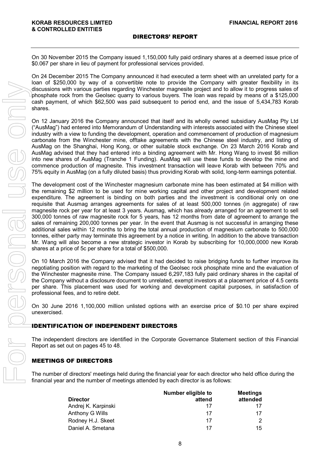On 30 November 2015 the Company issued 1,150,000 fully paid ordinary shares at a deemed issue price of \$0.067 per share in lieu of payment for professional services provided.

On 24 December 2015 The Company announced it had executed a term sheet with an unrelated party for a loan of \$250,000 by way of a convertible note to provide the Company with greater flexibility in its discussions with various parties regarding Winchester magnesite project and to allow it to progress sales of phosphate rock from the Geolsec quarry to various buyers. The loan was repaid by means of a \$125,000 cash payment, of which \$62,500 was paid subsequent to period end, and the issue of 5,434,783 Korab shares.

On 12 January 2016 the Company announced that itself and its wholly owned subsidiary AusMag Pty Ltd ("AusMag") had entered into Memorandum of Understanding with interests associated with the Chinese steel industry with a view to funding the development, operation and commencement of production of magnesium carbonate from the Winchester mine, offtake agreements with the Chinese steel industry, and listing of AusMag on the Shanghai, Hong Kong, or other suitable stock exchange. On 23 March 2016 Korab and AusMag advised that they had entered into a binding agreement with Mr. Hong Wang to invest \$6 million into new shares of AusMag (Tranche 1 Funding). AusMag will use these funds to develop the mine and commence production of magnesite. This investment transaction will leave Korab with between 70% and 75% equity in AusMag (on a fully diluted basis) thus providing Korab with solid, long-term earnings potential.

The development cost of the Winchester magnesium carbonate mine has been estimated at \$4 million with the remaining \$2 million to be used for mine working capital and other project and development related expenditure. The agreement is binding on both parties and the investment is conditional only on one requisite that Ausmag arranges agreements for sales of at least 500,000 tonnes (in aggregate) of raw magnesite rock per year for at least 3 years. Ausmag, which has already arranged for an agreement to sell 300,000 tonnes of raw magnesite rock for 5 years, has 12 months from date of agreement to arrange the sales of remaining 200,000 tonnes per year. In the event that Ausmag is not successful in arranging these additional sales within 12 months to bring the total annual production of magnesium carbonate to 500,000 tonnes, either party may terminate this agreement by a notice in writing. In addition to the above transaction Mr. Wang will also become a new strategic investor in Korab by subscribing for 10,000,0000 new Korab shares at a price of 5c per share for a total of \$500,000.

On 10 March 2016 the Company advised that it had decided to raise bridging funds to further improve its negotiating position with regard to the marketing of the Geolsec rock phosphate mine and the evaluation of the Winchester magnesite mine. The Company issued 6,297,183 fully paid ordinary shares in the capital of the Company without a disclosure document to unrelated, exempt investors at a placement price of 4.5 cents per share. This placement was used for working and development capital purposes, in satisfaction of professional fees, and to retire debt.

On 30 June 2016 1,100,000 million unlisted options with an exercise price of \$0.10 per share expired unexercised.

## IDENTIFICATION OF INDEPENDENT DIRECTORS

The independent directors are identified in the Corporate Governance Statement section of this Financial Report as set out on pages 45 to 48.

## MEETINGS OF DIRECTORS

The number of directors' meetings held during the financial year for each director who held office during the financial year and the number of meetings attended by each director is as follows:

|                     | Number eligible to | <b>Meetings</b> |
|---------------------|--------------------|-----------------|
| <b>Director</b>     | attend             | attended        |
| Andrej K. Karpinski | 17                 |                 |
| Anthony G Wills     | 17                 | 17              |
| Rodney H.J. Skeet   | 17                 | 2               |
| Daniel A. Smetana   | 17                 | 15              |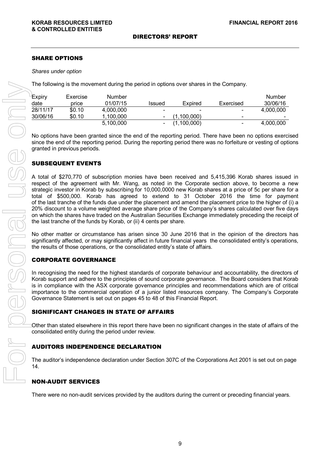## SHARE OPTIONS

#### *Shares under option*

The following is the movement during the period in options over shares in the Company.

| Expiry   | Exercise | Number    |                          |             |                          | Number    |
|----------|----------|-----------|--------------------------|-------------|--------------------------|-----------|
| date     | price    | 01/07/15  | Issued                   | Expired     | Exercised                | 30/06/16  |
| 28/11/17 | \$0.10   | 4.000.000 | -                        |             |                          | 4.000.000 |
| 30/06/16 | \$0.10   | 1.100.000 | $\overline{\phantom{a}}$ | (1.100.000) | -                        |           |
|          |          | 5,100,000 | $\overline{\phantom{a}}$ | (1,100,000) | $\overline{\phantom{0}}$ | 4,000,000 |

No options have been granted since the end of the reporting period. There have been no options exercised since the end of the reporting period. During the reporting period there was no forfeiture or vesting of options granted in previous periods.

## SUBSEQUENT EVENTS

A total of \$270,770 of subscription monies have been received and 5,415,396 Korab shares issued in respect of the agreement with Mr. Wang, as noted in the Corporate section above, to become a new strategic investor in Korab by subscribing for 10,000,0000 new Korab shares at a price of 5c per share for a total of \$500,000. Korab has agreed to extend to 31 October 2016 the time for payment of the last tranche of the funds due under the placement and amend the placement price to the higher of (i) a 20% discount to a volume weighted average share price of the Company's shares calculated over five days on which the shares have traded on the Australian Securities Exchange immediately preceding the receipt of the last tranche of the funds by Korab, or (ii) 4 cents per share. The following is the movement during the period in cylinder Services (and the movement of the Concellent Current or the Current or the Current or the Current or the Current or the Current or the current or the current or p

No other matter or circumstance has arisen since 30 June 2016 that in the opinion of the directors has significantly affected, or may significantly affect in future financial years the consolidated entity's operations, the results of those operations, or the consolidated entity's state of affairs.

## CORPORATE GOVERNANCE

In recognising the need for the highest standards of corporate behaviour and accountability, the directors of Korab support and adhere to the principles of sound corporate governance. The Board considers that Korab is in compliance with the ASX corporate governance principles and recommendations which are of critical importance to the commercial operation of a junior listed resources company. The Company's Corporate Governance Statement is set out on pages 45 to 48 of this Financial Report.

## SIGNIFICANT CHANGES IN STATE OF AFFAIRS

Other than stated elsewhere in this report there have been no significant changes in the state of affairs of the consolidated entity during the period under review.

## AUDITORS INDEPENDENCE DECLARATION

The auditor's independence declaration under Section 307C of the Corporations Act 2001 is set out on page 14.

## NON-AUDIT SERVICES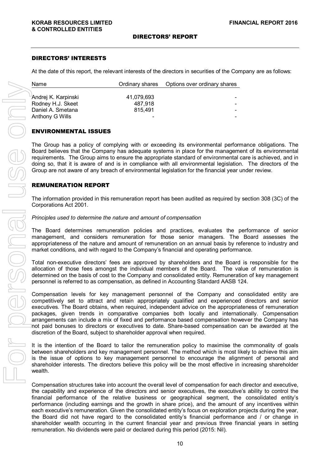## DIRECTORS' INTERESTS

At the date of this report, the relevant interests of the directors in securities of the Company are as follows:

| Name                | Ordinary shares | Options over ordinary shares |
|---------------------|-----------------|------------------------------|
|                     |                 |                              |
| Andrej K. Karpinski | 41.079.693      |                              |
| Rodney H.J. Skeet   | 487.918         | -                            |
| Daniel A. Smetana   | 815.491         | -                            |
| Anthony G Wills     |                 |                              |

## ENVIRONMENTAL ISSUES

The Group has a policy of complying with or exceeding its environmental performance obligations. The Board believes that the Company has adequate systems in place for the management of its environmental requirements. The Group aims to ensure the appropriate standard of environmental care is achieved, and in doing so, that it is aware of and is in compliance with all environmental legislation. The directors of the Group are not aware of any breach of environmental legislation for the financial year under review.

### REMUNERATION REPORT

The information provided in this remuneration report has been audited as required by section 308 (3C) of the Corporations Act 2001.

#### *Principles used to determine the nature and amount of compensation*

The Board determines remuneration policies and practices, evaluates the performance of senior management, and considers remuneration for those senior managers. The Board assesses the appropriateness of the nature and amount of remuneration on an annual basis by reference to industry and market conditions, and with regard to the Company's financial and operating performance.

Total non-executive directors' fees are approved by shareholders and the Board is responsible for the allocation of those fees amongst the individual members of the Board. The value of remuneration is determined on the basis of cost to the Company and consolidated entity. Remuneration of key management personnel is referred to as compensation, as defined in Accounting Standard AASB 124.

Compensation levels for key management personnel of the Company and consolidated entity are competitively set to attract and retain appropriately qualified and experienced directors and senior executives. The Board obtains, when required, independent advice on the appropriateness of remuneration packages, given trends in comparative companies both locally and internationally. Compensation arrangements can include a mix of fixed and performance based compensation however the Company has not paid bonuses to directors or executives to date. Share-based compensation can be awarded at the discretion of the Board, subject to shareholder approval when required.

It is the intention of the Board to tailor the remuneration policy to maximise the commonality of goals between shareholders and key management personnel. The method which is most likely to achieve this aim is the issue of options to key management personnel to encourage the alignment of personal and shareholder interests. The directors believe this policy will be the most effective in increasing shareholder wealth.

Compensation structures take into account the overall level of compensation for each director and executive, the capability and experience of the directors and senior executives, the executive's ability to control the financial performance of the relative business or geographical segment, the consolidated entity's performance (including earnings and the growth in share price), and the amount of any incentives within each executive's remuneration. Given the consolidated entity's focus on exploration projects during the year, the Board did not have regard to the consolidated entity's financial performance and / or change in shareholder wealth occurring in the current financial year and previous three financial years in setting **Example 1997**<br>
Andrej K. Karojneski and 1997 and 1998 and 1998 and 1998 and 1998 and 1998 and 1998 and 1998 and 1998 and 1998 and 1998 and 1998 and 1998 and 1999 and 1999 and 1999 and 1999 and 1999 and 1999 and 1999 and 1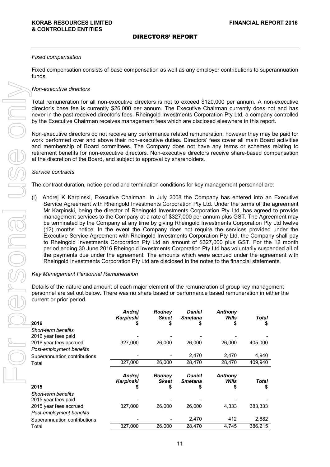#### *Fixed compensation*

Fixed compensation consists of base compensation as well as any employer contributions to superannuation funds.

### *Non-executive directors*

Total remuneration for all non-executive directors is not to exceed \$120,000 per annum. A non-executive director's base fee is currently \$26,000 per annum. The Executive Chairman currently does not and has never in the past received director's fees. Rheingold Investments Corporation Pty Ltd, a company controlled by the Executive Chairman receives management fees which are disclosed elsewhere in this report.

Non-executive directors do not receive any performance related remuneration, however they may be paid for work performed over and above their non-executive duties. Directors' fees cover all main Board activities and membership of Board committees. The Company does not have any terms or schemes relating to retirement benefits for non-executive directors. Non-executive directors receive share-based compensation at the discretion of the Board, and subject to approval by shareholders.

#### *Service contracts*

The contract duration, notice period and termination conditions for key management personnel are:

Andrej K Karpinski, Executive Chairman. In July 2008 the Company has entered into an Executive Service Agreement with Rheingold Investments Corporation Pty Ltd. Under the terms of the agreement Mr Karpinski, being the director of Rheingold Investments Corporation Pty Ltd, has agreed to provide management services to the Company at a rate of \$327,000 per annum plus GST. The Agreement may be terminated by the Company at any time by giving Rheingold Investments Corporation Pty Ltd twelve (12) months' notice. In the event the Company does not require the services provided under the Executive Service Agreement with Rheingold Investments Corporation Pty Ltd, the Company shall pay to Rheingold Investments Corporation Pty Ltd an amount of \$327,000 plus GST. For the 12 month period ending 30 June 2016 Rheingold Investments Corporation Pty Ltd has voluntarily suspended all of the payments due under the agreement. The amounts which were accrued under the agreement with Rheingold Investments Corporation Pty Ltd are disclosed in the notes to the financial statements.

#### *Key Management Personnel Remuneration*

Details of the nature and amount of each major element of the remuneration of group key management personnel are set out below. There was no share based or performance based remuneration in either the current or prior period.

| 2016                         | Andrej<br><b>Karpinski</b><br>æ.  | <b>Rodney</b><br><b>Skeet</b><br>S | <b>Daniel</b><br><b>Smetana</b><br>S | <b>Anthony</b><br>Wills | Total<br>S   |
|------------------------------|-----------------------------------|------------------------------------|--------------------------------------|-------------------------|--------------|
| Short-term benefits          |                                   |                                    |                                      |                         |              |
| 2016 year fees paid          |                                   |                                    |                                      |                         |              |
| 2016 year fees accrued       | 327,000                           | 26,000                             | 26,000                               | 26,000                  | 405,000      |
| Post-employment benefits     |                                   |                                    |                                      |                         |              |
| Superannuation contributions |                                   |                                    | 2,470                                | 2,470                   | 4,940        |
| Total                        | 327,000                           | 26,000                             | 28,470                               | 28,470                  | 409,940      |
|                              | <b>Andrej</b><br><b>Karpinski</b> | <b>Rodney</b><br><b>Skeet</b>      | <b>Daniel</b><br><b>Smetana</b>      | <b>Anthony</b><br>Wills | <b>Total</b> |
| 2015                         |                                   | S                                  | 5                                    |                         | S            |
| Short-term benefits          |                                   |                                    |                                      |                         |              |
| 2015 year fees paid          |                                   |                                    |                                      |                         |              |
| 2015 year fees accrued       | 327,000                           | 26,000                             | 26,000                               | 4.333                   | 383,333      |
|                              |                                   |                                    |                                      |                         |              |
| Post-employment benefits     |                                   |                                    |                                      |                         |              |
| Superannuation contributions |                                   |                                    | 2,470                                | 412                     | 2,882        |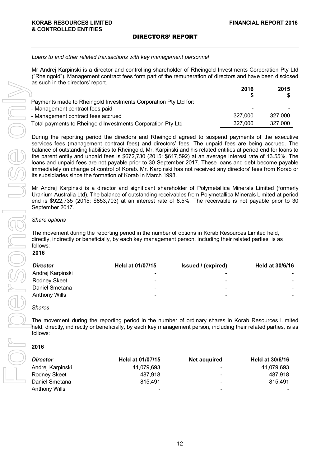#### Loans to and other related transactions with key management personnel

Mr Andrej Karpinski is a director and controlling shareholder of Rheingold Investments Corporation Pty Ltd ("Rheingold"). Management contract fees form part of the remuneration of directors and have been disclosed as such in the directors' report.

|                                                                 | 2016    | 2015    |
|-----------------------------------------------------------------|---------|---------|
| Payments made to Rheingold Investments Corporation Pty Ltd for: |         |         |
| - Management contract fees paid                                 |         |         |
| - Management contract fees accrued                              | 327,000 | 327.000 |
| Total payments to Rheingold Investments Corporation Pty Ltd     | 327,000 | 327,000 |

During the reporting period the directors and Rheingold agreed to suspend payments of the executive services fees (management contract fees) and directors' fees. The unpaid fees are being accrued. The balance of outstanding liabilities to Rheingold, Mr. Karpinski and his related entities at period end for loans to the parent entity and unpaid fees is \$672,730 (2015: \$617,592) at an average interest rate of 13.55%. The loans and unpaid fees are not payable prior to 30 September 2017. These loans and debt become payable immediately on change of control of Korab. Mr. Karpinski has not received any directors' fees from Korab or its subsidiaries since the formation of Korab in March 1998. 2016<br>
Prayments made to Rheingeld investments Corporation Pty Ltd for<br>
Management contract des paid<br>
-Management contract des paid<br>
-Management contract des paid<br>
-Management contract des paid<br>
-Management contract des pa

Mr Andrej Karpinski is a director and significant shareholder of Polymetallica Minerals Limited (formerly Uranium Australia Ltd). The balance of outstanding receivables from Polymetallica Minerals Limited at period end is \$922,735 (2015: \$853,703) at an interest rate of 8.5%. The receivable is not payable prior to 30 September 2017.

### *Share options*

The movement during the reporting period in the number of options in Korab Resources Limited held, directly, indirectly or beneficially, by each key management person, including their related parties, is as follows:

#### **2016**

| <b>Director</b>      | Held at 01/07/15         | <b>Issued</b> / (expired) | <b>Held at 30/6/16</b> |
|----------------------|--------------------------|---------------------------|------------------------|
| Andrej Karpinski     | -                        | -                         |                        |
| <b>Rodney Skeet</b>  | -                        | -                         |                        |
| Daniel Smetana       | $\overline{\phantom{0}}$ | $\overline{\phantom{0}}$  |                        |
| <b>Anthony Wills</b> | -                        | -                         |                        |

## *Shares*

The movement during the reporting period in the number of ordinary shares in Korab Resources Limited held, directly, indirectly or beneficially, by each key management person, including their related parties, is as follows:

#### **2016**

| <b>Director</b>  | Held at 01/07/15         | Net acquired             | Held at 30/6/16 |
|------------------|--------------------------|--------------------------|-----------------|
| Andrej Karpinski | 41.079.693               | $\overline{\phantom{0}}$ | 41.079.693      |
| Rodney Skeet     | 487.918                  | $\overline{\phantom{a}}$ | 487.918         |
| Daniel Smetana   | 815.491                  | $\qquad \qquad$          | 815.491         |
| Anthony Wills    | $\overline{\phantom{0}}$ | $\overline{\phantom{a}}$ |                 |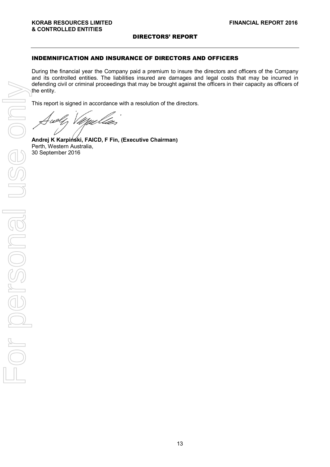## INDEMNIFICATION AND INSURANCE OF DIRECTORS AND OFFICERS

During the financial year the Company paid a premium to insure the directors and officers of the Company and its controlled entities. The liabilities insured are damages and legal costs that may be incurred in defending civil or criminal proceedings that may be brought against the officers in their capacity as officers of the entity.

This report is signed in accordance with a resolution of the directors.

Mel*le* 

**Andrej K Karpinski, FAICD, F Fin, (Executive Chairman)** Perth, Western Australia,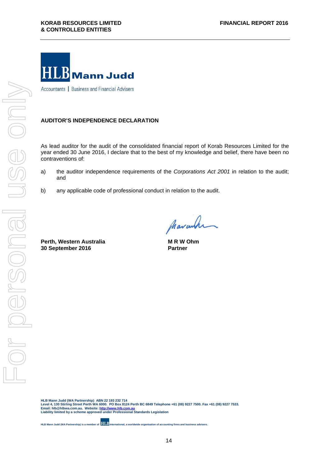

Accountants | Business and Financial Advisers

## **AUDITOR'S INDEPENDENCE DECLARATION**

As lead auditor for the audit of the consolidated financial report of Korab Resources Limited for the year ended 30 June 2016, I declare that to the best of my knowledge and belief, there have been no contraventions of:

- a) the auditor independence requirements of the *Corporations Act 2001* in relation to the audit; and
- b) any applicable code of professional conduct in relation to the audit.

**Perth, Western Australia 30 September 2016**

Marcula

**M R W Ohm Partner**

HLB Mann Judd (WA Partnership) ABN 22 193 232 714<br>Level 4, 130 Stirling Street Perth WA 6000. PO Box 8124 Perth BC 6849 Telephone +61 (08) 9227 7500. Fax +61 (08) 9227 7533.<br>Email: hlb@hlbwa.com.au. Website: <u>http://www</u>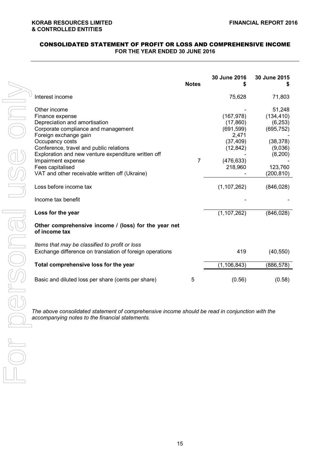## CONSOLIDATED STATEMENT OF PROFIT OR LOSS AND COMPREHENSIVE INCOME **FOR THE YEAR ENDED 30 JUNE 2016**

|                                                                                                                                                                                                                                                                                                                                                   | <b>Notes</b>   | 30 June 2016                                                                                      | 30 June 2015                                                                                               |
|---------------------------------------------------------------------------------------------------------------------------------------------------------------------------------------------------------------------------------------------------------------------------------------------------------------------------------------------------|----------------|---------------------------------------------------------------------------------------------------|------------------------------------------------------------------------------------------------------------|
| Interest income                                                                                                                                                                                                                                                                                                                                   |                | 75,628                                                                                            | 71,803                                                                                                     |
| Other income<br>Finance expense<br>Depreciation and amortisation<br>Corporate compliance and management<br>Foreign exchange gain<br>Occupancy costs<br>Conference, travel and public relations<br>Exploration and new venture expenditure written off<br>Impairment expense<br>Fees capitalised<br>VAT and other receivable written off (Ukraine) | $\overline{7}$ | (167, 978)<br>(17, 860)<br>(691, 599)<br>2,471<br>(37, 409)<br>(12, 842)<br>(476, 633)<br>218,960 | 51,248<br>(134, 410)<br>(6, 253)<br>(695, 752)<br>(38, 378)<br>(9,036)<br>(8,200)<br>123,760<br>(200, 810) |
| Loss before income tax<br>Income tax benefit                                                                                                                                                                                                                                                                                                      |                | (1, 107, 262)                                                                                     | (846, 028)                                                                                                 |
| Loss for the year                                                                                                                                                                                                                                                                                                                                 |                | (1, 107, 262)                                                                                     | (846, 028)                                                                                                 |
| Other comprehensive income / (loss) for the year net<br>of income tax<br>Items that may be classified to profit or loss<br>Exchange difference on translation of foreign operations                                                                                                                                                               |                | 419                                                                                               | (40, 550)                                                                                                  |
| Total comprehensive loss for the year                                                                                                                                                                                                                                                                                                             |                | (1, 106, 843)                                                                                     | (886, 578)                                                                                                 |
| Basic and diluted loss per share (cents per share)                                                                                                                                                                                                                                                                                                | 5              | (0.56)                                                                                            | (0.58)                                                                                                     |
| The above consolidated statement of comprehensive income should be read in conjunction with the<br>accompanying notes to the financial statements.                                                                                                                                                                                                |                |                                                                                                   |                                                                                                            |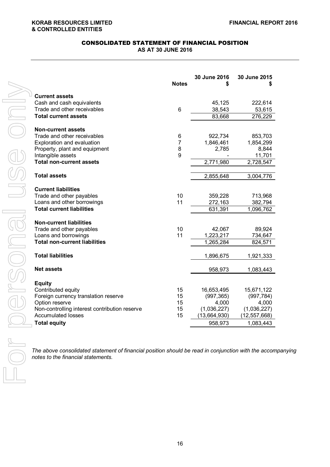#### **KORAB RESOURCES LIMITED FINANCIAL REPORT 2016 & CONTROLLED ENTITIES**

## CONSOLIDATED STATEMENT OF FINANCIAL POSITION

**AS AT 30 JUNE 2016** 

|                                                                                                                                            | <b>Notes</b>     | 30 June 2016 | 30 June 2015   |
|--------------------------------------------------------------------------------------------------------------------------------------------|------------------|--------------|----------------|
| <b>Current assets</b>                                                                                                                      |                  |              |                |
| Cash and cash equivalents                                                                                                                  |                  | 45,125       | 222,614        |
| Trade and other receivables                                                                                                                | 6                | 38,543       | 53,615         |
| <b>Total current assets</b>                                                                                                                |                  | 83,668       | 276,229        |
| <b>Non-current assets</b>                                                                                                                  |                  |              |                |
| Trade and other receivables                                                                                                                | 6                | 922,734      | 853,703        |
| Exploration and evaluation                                                                                                                 | 7                | 1,846,461    | 1,854,299      |
| Property, plant and equipment                                                                                                              | 8                | 2,785        | 8,844          |
| Intangible assets                                                                                                                          | $\boldsymbol{9}$ |              | 11,701         |
| <b>Total non-current assets</b>                                                                                                            |                  | 2,771,980    | 2,728,547      |
| <b>Total assets</b>                                                                                                                        |                  | 2,855,648    | 3,004,776      |
|                                                                                                                                            |                  |              |                |
| <b>Current liabilities</b>                                                                                                                 |                  |              |                |
| Trade and other payables                                                                                                                   | 10               | 359,228      | 713,968        |
| Loans and other borrowings                                                                                                                 | 11               | 272,163      | 382,794        |
| <b>Total current liabilities</b>                                                                                                           |                  | 631,391      | 1,096,762      |
| <b>Non-current liabilities</b>                                                                                                             |                  |              |                |
| Trade and other payables                                                                                                                   | 10               | 42,067       | 89,924         |
| Loans and borrowings                                                                                                                       | 11               | 1,223,217    | 734,647        |
| <b>Total non-current liabilities</b>                                                                                                       |                  | 1,265,284    | 824,571        |
|                                                                                                                                            |                  |              |                |
| <b>Total liabilities</b>                                                                                                                   |                  | 1,896,675    | 1,921,333      |
| <b>Net assets</b>                                                                                                                          |                  | 958,973      | 1,083,443      |
|                                                                                                                                            |                  |              |                |
| <b>Equity</b><br>Contributed equity                                                                                                        | 15               | 16,653,495   | 15,671,122     |
| Foreign currency translation reserve                                                                                                       | 15               | (997, 365)   | (997, 784)     |
| Option reserve                                                                                                                             | 15               | 4,000        | 4,000          |
| Non-controlling interest contribution reserve                                                                                              | 15               | (1,036,227)  | (1,036,227)    |
| <b>Accumulated losses</b>                                                                                                                  | 15               | (13,664,930) | (12, 557, 668) |
| <b>Total equity</b>                                                                                                                        |                  | 958,973      | 1,083,443      |
| The above consolidated statement of financial position should be read in conjunction with the accomp<br>notes to the financial statements. |                  |              |                |
|                                                                                                                                            |                  |              |                |

*The above consolidated statement of financial position should be read in conjunction with the accompanying*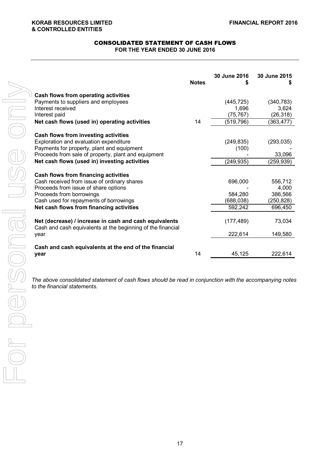#### **KORAB RESOURCES LIMITED FINANCIAL REPORT 2016 & CONTROLLED ENTITIES**

## CONSOLIDATED STATEMENT OF CASH FLOWS **FOR THE YEAR ENDED 30 JUNE 2016**

|                                                                                      | <b>Notes</b> | 30 June 2016        | 30 June 2015 |
|--------------------------------------------------------------------------------------|--------------|---------------------|--------------|
|                                                                                      |              |                     |              |
| Cash flows from operating activities                                                 |              |                     |              |
| Payments to suppliers and employees                                                  |              | (445, 725)          | (340, 783)   |
| Interest received                                                                    |              | 1,696               | 3,624        |
| Interest paid                                                                        |              | (75, 767)           | (26, 318)    |
| Net cash flows (used in) operating activities                                        | 14           | (519, 796)          | (363,477)    |
|                                                                                      |              |                     |              |
| Cash flows from investing activities                                                 |              |                     |              |
| Exploration and evaluation expenditure<br>Payments for property, plant and equipment |              | (249, 835)<br>(100) | (293, 035)   |
| Proceeds from sale of property, plant and equipment                                  |              |                     | 33,096       |
| Net cash flows (used in) investing activities                                        |              | (249, 935)          | (259, 939)   |
|                                                                                      |              |                     |              |
| Cash flows from financing activities                                                 |              |                     |              |
| Cash received from issue of ordinary shares                                          |              | 696,000             | 556,712      |
| Proceeds from issue of share options                                                 |              |                     | 4,000        |
| Proceeds from borrowings                                                             |              | 584,280             | 386,566      |
| Cash used for repayments of borrowings                                               |              | (688, 038)          | (250, 828)   |
| Net cash flows from financing activities                                             |              | 592,242             | 696,450      |
| Net (decrease) / increase in cash and cash equivalents                               |              | (177, 489)          | 73,034       |
| Cash and cash equivalents at the beginning of the financial<br>year                  |              | 222,614             | 149,580      |
| Cash and cash equivalents at the end of the financial                                |              |                     |              |
| year                                                                                 | 14           | 45,125              | 222,614      |
|                                                                                      |              |                     |              |

*The above consolidated statement of cash flows should be read in conjunction with the accompanying notes*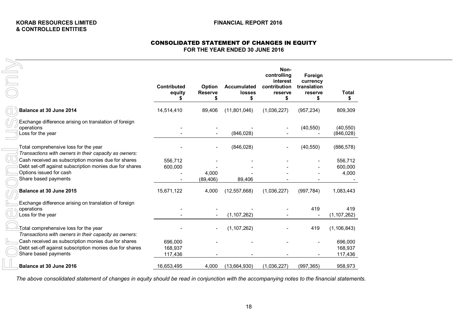#### CONSOLIDATED STATEMENT OF CHANGES IN EQUITY **FOR THE YEAR ENDED 30 JUNE 2016**

|                                                                                                                                                                   | <b>Contributed</b><br>equity<br>S | Option<br><b>Reserve</b> | Accumulated<br><b>losses</b> | Non-<br>controlling<br>interest<br>contribution<br>reserve<br>S | Foreign<br>currency<br>translation<br>reserve<br>\$ | <b>Total</b>                  |
|-------------------------------------------------------------------------------------------------------------------------------------------------------------------|-----------------------------------|--------------------------|------------------------------|-----------------------------------------------------------------|-----------------------------------------------------|-------------------------------|
| Balance at 30 June 2014                                                                                                                                           | 14,514,410                        | 89,406                   | (11,801,046)                 | (1,036,227)                                                     | (957, 234)                                          | 809,309                       |
| Exchange difference arising on translation of foreign<br>operations<br>Loss for the year                                                                          |                                   |                          | (846, 028)                   |                                                                 | (40, 550)                                           | (40, 550)<br>(846, 028)       |
| Total comprehensive loss for the year<br>Transactions with owners in their capacity as owners:                                                                    |                                   |                          | (846, 028)                   |                                                                 | (40, 550)                                           | (886, 578)                    |
| Cash received as subscription monies due for shares<br>Debt set-off against subscription monies due for shares<br>Options issued for cash<br>Share based payments | 556,712<br>600,000                | 4,000<br>(89, 406)       | 89,406                       |                                                                 |                                                     | 556,712<br>600,000<br>4,000   |
| Balance at 30 June 2015                                                                                                                                           | 15,671,122                        | 4,000                    | (12, 557, 668)               | (1,036,227)                                                     | (997, 784)                                          | 1,083,443                     |
| Exchange difference arising on translation of foreign<br>operations<br>Loss for the year                                                                          |                                   |                          | (1, 107, 262)                |                                                                 | 419                                                 | 419<br>(1, 107, 262)          |
| Total comprehensive loss for the year<br>Transactions with owners in their capacity as owners:                                                                    |                                   |                          | (1, 107, 262)                |                                                                 | 419                                                 | (1, 106, 843)                 |
| Cash received as subscription monies due for shares<br>Debt set-off against subscription monies due for shares<br>Share based payments                            | 696.000<br>168,937<br>117,436     |                          |                              |                                                                 |                                                     | 696,000<br>168,937<br>117,436 |
| Balance at 30 June 2016                                                                                                                                           | 16,653,495                        | 4,000                    | (13,664,930)                 | (1,036,227)                                                     | (997, 365)                                          | 958,973                       |

*The above consolidated statement of changes in equity should be read in conjunction with the accompanying notes to the financial statements.*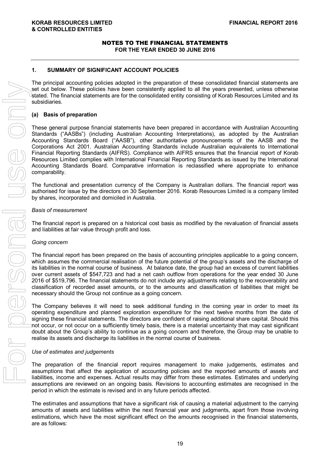## **1. SUMMARY OF SIGNIFICANT ACCOUNT POLICIES**

The principal accounting policies adopted in the preparation of these consolidated financial statements are set out below. These policies have been consistently applied to all the years presented, unless otherwise stated. The financial statements are for the consolidated entity consisting of Korab Resources Limited and its subsidiaries.

## **(a) Basis of preparation**

These general purpose financial statements have been prepared in accordance with Australian Accounting Standards ("AASBs") (including Australian Accounting Interpretations), as adopted by the Australian Accounting Standards Board ("AASB"), other authoritative pronouncements of the AASB and the Corporations Act 2001. Australian Accounting Standards include Australian equivalents to International Financial Reporting Standards (AIFRS). Compliance with AIFRS ensures that the financial report of Korab Resources Limited complies with International Financial Reporting Standards as issued by the International Accounting Standards Board. Comparative information is reclassified where appropriate to enhance comparability.

The functional and presentation currency of the Company is Australian dollars. The financial report was authorised for issue by the directors on 30 September 2016. Korab Resources Limited is a company limited by shares, incorporated and domiciled in Australia.

#### *Basis of measurement*

The financial report is prepared on a historical cost basis as modified by the revaluation of financial assets and liabilities at fair value through profit and loss.

#### *Going concern*

The financial report has been prepared on the basis of accounting principles applicable to a going concern, which assumes the commercial realisation of the future potential of the group's assets and the discharge of its liabilities in the normal course of business. At balance date, the group had an excess of current liabilities over current assets of \$547,723 and had a net cash outflow from operations for the year ended 30 June 2016 of \$519,796. The financial statements do not include any adjustments relating to the recoverability and classification of recorded asset amounts, or to the amounts and classification of liabilities that might be necessary should the Group not continue as a going concern.

The Company believes it will need to seek additional funding in the coming year in order to meet its operating expenditure and planned exploration expenditure for the next twelve months from the date of signing these financial statements. The directors are confident of raising additional share capital. Should this not occur, or not occur on a sufficiently timely basis, there is a material uncertainty that may cast significant doubt about the Group's ability to continue as a going concern and therefore, the Group may be unable to realise its assets and discharge its liabilities in the normal course of business.

## *Use of estimates and judgements*

The preparation of the financial report requires management to make judgements, estimates and assumptions that affect the application of accounting policies and the reported amounts of assets and liabilities, income and expenses. Actual results may differ from these estimates. Estimates and underlying assumptions are reviewed on an ongoing basis. Revisions to accounting estimates are recognised in the period in which the estimate is revised and in any future periods affected.

The estimates and assumptions that have a significant risk of causing a material adjustment to the carrying amounts of assets and liabilities within the next financial year and judgments, apart from those involving estimations, which have the most significant effect on the amounts recognised in the financial statements, are as follows: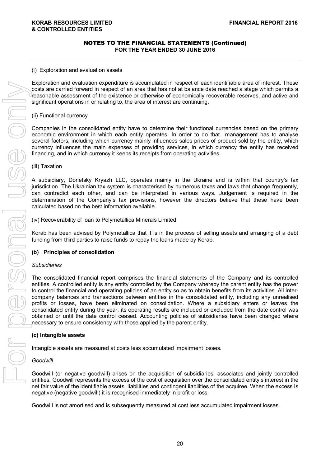#### (i) Exploration and evaluation assets

Exploration and evaluation expenditure is accumulated in respect of each identifiable area of interest. These costs are carried forward in respect of an area that has not at balance date reached a stage which permits a reasonable assessment of the existence or otherwise of economically recoverable reserves, and active and significant operations in or relating to, the area of interest are continuing.

#### (ii) Functional currency

Companies in the consolidated entity have to determine their functional currencies based on the primary economic environment in which each entity operates. In order to do that management has to analyse several factors, including which currency mainly influences sales prices of product sold by the entity, which currency influences the main expenses of providing services, in which currency the entity has received financing, and in which currency it keeps its receipts from operating activities.

#### (iii) Taxation

A subsidiary, Donetsky Kryazh LLC, operates mainly in the Ukraine and is within that country's tax jurisdiction. The Ukrainian tax system is characterised by numerous taxes and laws that change frequently, can contradict each other, and can be interpreted in various ways. Judgement is required in the determination of the Company's tax provisions, however the directors believe that these have been calculated based on the best information available.

#### (iv) Recoverability of loan to Polymetallica Minerals Limited

Korab has been advised by Polymetallica that it is in the process of selling assets and arranging of a debt funding from third parties to raise funds to repay the loans made by Korab.

#### **(b) Principles of consolidation**

#### *Subsidiaries*

The consolidated financial report comprises the financial statements of the Company and its controlled entities. A controlled entity is any entity controlled by the Company whereby the parent entity has the power to control the financial and operating policies of an entity so as to obtain benefits from its activities. All intercompany balances and transactions between entities in the consolidated entity, including any unrealised profits or losses, have been eliminated on consolidation. Where a subsidiary enters or leaves the consolidated entity during the year, its operating results are included or excluded from the date control was obtained or until the date control ceased. Accounting policies of subsidiaries have been changed where necessary to ensure consistency with those applied by the parent entity. Experience and the experience and the subsequently is a subsequently measured at the subsequently measured at the single information of the mortised and interest and interest and interest and interest and interest and inte

#### **(c) Intangible assets**

Intangible assets are measured at costs less accumulated impairment losses.

#### *Goodwill*

Goodwill (or negative goodwill) arises on the acquisition of subsidiaries, associates and jointly controlled entities. Goodwill represents the excess of the cost of acquisition over the consolidated entity's interest in the net fair value of the identifiable assets, liabilities and contingent liabilities of the acquiree. When the excess is negative (negative goodwill) it is recognised immediately in profit or loss.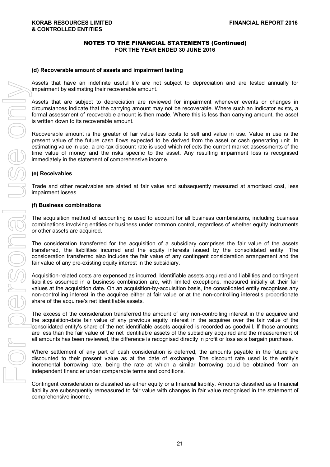#### **(d) Recoverable amount of assets and impairment testing**

Assets that have an indefinite useful life are not subject to depreciation and are tested annually for impairment by estimating their recoverable amount.

Assets that are subject to depreciation are reviewed for impairment whenever events or changes in circumstances indicate that the carrying amount may not be recoverable. Where such an indicator exists, a formal assessment of recoverable amount is then made. Where this is less than carrying amount, the asset is written down to its recoverable amount.

Recoverable amount is the greater of fair value less costs to sell and value in use. Value in use is the present value of the future cash flows expected to be derived from the asset or cash generating unit. In estimating value in use, a pre-tax discount rate is used which reflects the current market assessments of the time value of money and the risks specific to the asset. Any resulting impairment loss is recognised immediately in the statement of comprehensive income.

### **(e) Receivables**

Trade and other receivables are stated at fair value and subsequently measured at amortised cost, less impairment losses.

#### **(f) Business combinations**

The acquisition method of accounting is used to account for all business combinations, including business combinations involving entities or business under common control, regardless of whether equity instruments or other assets are acquired.

The consideration transferred for the acquisition of a subsidiary comprises the fair value of the assets transferred, the liabilities incurred and the equity interests issued by the consolidated entity. The consideration transferred also includes the fair value of any contingent consideration arrangement and the fair value of any pre-existing equity interest in the subsidiary.

Acquisition-related costs are expensed as incurred. Identifiable assets acquired and liabilities and contingent liabilities assumed in a business combination are, with limited exceptions, measured initially at their fair values at the acquisition date. On an acquisition-by-acquisition basis, the consolidated entity recognises any non-controlling interest in the acquiree either at fair value or at the non-controlling interest's proportionate share of the acquiree's net identifiable assets.

The excess of the consideration transferred the amount of any non-controlling interest in the acquiree and the acquisition-date fair value of any previous equity interest in the acquiree over the fair value of the consolidated entity's share of the net identifiable assets acquired is recorded as goodwill. If those amounts are less than the fair value of the net identifiable assets of the subsidiary acquired and the measurement of all amounts has been reviewed, the difference is recognised directly in profit or loss as a bargain purchase.

Where settlement of any part of cash consideration is deferred, the amounts payable in the future are discounted to their present value as at the date of exchange. The discount rate used is the entity's incremental borrowing rate, being the rate at which a similar borrowing could be obtained from an independent financier under comparable terms and conditions.

Contingent consideration is classified as either equity or a financial liability. Amounts classified as a financial liability are subsequently remeasured to fair value with changes in fair value recognised in the statement of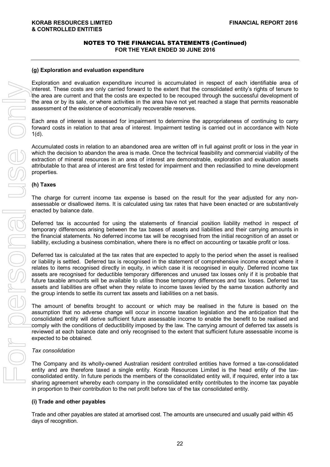#### **(g) Exploration and evaluation expenditure**

Exploration and evaluation expenditure incurred is accumulated in respect of each identifiable area of interest. These costs are only carried forward to the extent that the consolidated entity's rights of tenure to the area are current and that the costs are expected to be recouped through the successful development of the area or by its sale, or where activities in the area have not yet reached a stage that permits reasonable assessment of the existence of economically recoverable reserves.

Each area of interest is assessed for impairment to determine the appropriateness of continuing to carry forward costs in relation to that area of interest. Impairment testing is carried out in accordance with Note 1(d).

Accumulated costs in relation to an abandoned area are written off in full against profit or loss in the year in which the decision to abandon the area is made. Once the technical feasibility and commercial viability of the extraction of mineral resources in an area of interest are demonstrable, exploration and evaluation assets attributable to that area of interest are first tested for impairment and then reclassified to mine development properties.

#### **(h) Taxes**

The charge for current income tax expense is based on the result for the year adjusted for any nonassessable or disallowed items. It is calculated using tax rates that have been enacted or are substantively enacted by balance date.

Deferred tax is accounted for using the statements of financial position liability method in respect of temporary differences arising between the tax bases of assets and liabilities and their carrying amounts in the financial statements. No deferred income tax will be recognised from the initial recognition of an asset or liability, excluding a business combination, where there is no effect on accounting or taxable profit or loss.

Deferred tax is calculated at the tax rates that are expected to apply to the period when the asset is realised or liability is settled. Deferred tax is recognised in the statement of comprehensive income except where it relates to items recognised directly in equity, in which case it is recognised in equity. Deferred income tax assets are recognised for deductible temporary differences and unused tax losses only if it is probable that future taxable amounts will be available to utilise those temporary differences and tax losses. Deferred tax assets and liabilities are offset when they relate to income taxes levied by the same taxation authority and the group intends to settle its current tax assets and liabilities on a net basis.

The amount of benefits brought to account or which may be realised in the future is based on the assumption that no adverse change will occur in income taxation legislation and the anticipation that the consolidated entity will derive sufficient future assessable income to enable the benefit to be realised and comply with the conditions of deductibility imposed by the law. The carrying amount of deferred tax assets is reviewed at each balance date and only recognised to the extent that sufficient future assessable income is expected to be obtained.

#### *Tax consolidation*

The Company and its wholly-owned Australian resident controlled entities have formed a tax-consolidated entity and are therefore taxed a single entity. Korab Resources Limited is the head entity of the taxconsolidated entity. In future periods the members of the consolidated entity will, if required, enter into a tax sharing agreement whereby each company in the consolidated entity contributes to the income tax payable in proportion to their contribution to the net profit before tax of the tax consolidated entity.

## **(i) Trade and other payables**

Trade and other payables are stated at amortised cost. The amounts are unsecured and usually paid within 45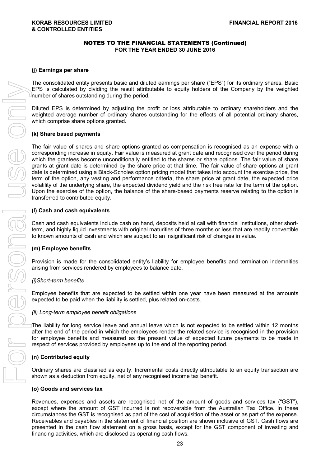## **(j) Earnings per share**

The consolidated entity presents basic and diluted earnings per share ("EPS") for its ordinary shares. Basic EPS is calculated by dividing the result attributable to equity holders of the Company by the weighted number of shares outstanding during the period.

Diluted EPS is determined by adjusting the profit or loss attributable to ordinary shareholders and the weighted average number of ordinary shares outstanding for the effects of all potential ordinary shares, which comprise share options granted.

## **(k) Share based payments**

The fair value of shares and share options granted as compensation is recognised as an expense with a corresponding increase in equity. Fair value is measured at grant date and recognised over the period during which the grantees become unconditionally entitled to the shares or share options. The fair value of share grants at grant date is determined by the share price at that time. The fair value of share options at grant date is determined using a Black-Scholes option pricing model that takes into account the exercise price, the term of the option, any vesting and performance criteria, the share price at grant date, the expected price volatility of the underlying share, the expected dividend yield and the risk free rate for the term of the option. Upon the exercise of the option, the balance of the share-based payments reserve relating to the option is transferred to contributed equity. Fina considerate entirely means and outres cases and outres cases are consistened as the case of the profit of the second activities. The Sis calculated by dividing the result are profit or local weighted average number of

## **(l) Cash and cash equivalents**

Cash and cash equivalents include cash on hand, deposits held at call with financial institutions, other shortterm, and highly liquid investments with original maturities of three months or less that are readily convertible to known amounts of cash and which are subject to an insignificant risk of changes in value.

## **(m) Employee benefits**

Provision is made for the consolidated entity's liability for employee benefits and termination indemnities arising from services rendered by employees to balance date.

## *(i)Short-term benefits*

Employee benefits that are expected to be settled within one year have been measured at the amounts expected to be paid when the liability is settled, plus related on-costs.

## *(ii) Long-term employee benefit obligations*

The liability for long service leave and annual leave which is not expected to be settled within 12 months after the end of the period in which the employees render the related service is recognised in the provision for employee benefits and measured as the present value of expected future payments to be made in respect of services provided by employees up to the end of the reporting period.

## **(n) Contributed equity**

Ordinary shares are classified as equity. Incremental costs directly attributable to an equity transaction are shown as a deduction from equity, net of any recognised income tax benefit.

## **(o) Goods and services tax**

Revenues, expenses and assets are recognised net of the amount of goods and services tax ("GST"), except where the amount of GST incurred is not recoverable from the Australian Tax Office. In these circumstances the GST is recognised as part of the cost of acquisition of the asset or as part of the expense. Receivables and payables in the statement of financial position are shown inclusive of GST. Cash flows are presented in the cash flow statement on a gross basis, except for the GST component of investing and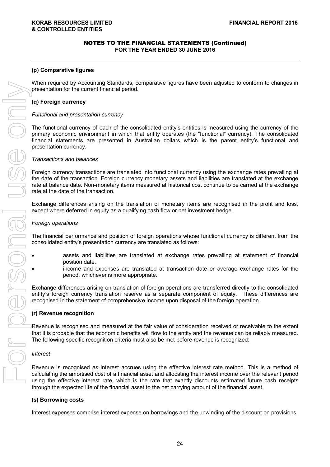## **(p) Comparative figures**

When required by Accounting Standards, comparative figures have been adjusted to conform to changes in presentation for the current financial period.

## **(q) Foreign currency**

## *Functional and presentation currency*

The functional currency of each of the consolidated entity's entities is measured using the currency of the primary economic environment in which that entity operates (the "functional" currency). The consolidated financial statements are presented in Australian dollars which is the parent entity's functional and presentation currency.

## *Transactions and balances*

Foreign currency transactions are translated into functional currency using the exchange rates prevailing at the date of the transaction. Foreign currency monetary assets and liabilities are translated at the exchange rate at balance date. Non-monetary items measured at historical cost continue to be carried at the exchange rate at the date of the transaction.

Exchange differences arising on the translation of monetary items are recognised in the profit and loss, except where deferred in equity as a qualifying cash flow or net investment hedge.

### *Foreign operations*

The financial performance and position of foreign operations whose functional currency is different from the consolidated entity's presentation currency are translated as follows:

- assets and liabilities are translated at exchange rates prevailing at statement of financial position date.
	- income and expenses are translated at transaction date or average exchange rates for the period, whichever is more appropriate.

Exchange differences arising on translation of foreign operations are transferred directly to the consolidated entity's foreign currency translation reserve as a separate component of equity. These differences are recognised in the statement of comprehensive income upon disposal of the foreign operation.

## **(r) Revenue recognition**

Revenue is recognised and measured at the fair value of consideration received or receivable to the extent that it is probable that the economic benefits will flow to the entity and the revenue can be reliably measured. The following specific recognition criteria must also be met before revenue is recognized:

#### *Interest*

Revenue is recognised as interest accrues using the effective interest rate method. This is a method of calculating the amortised cost of a financial asset and allocating the interest income over the relevant period using the effective interest rate, which is the rate that exactly discounts estimated future cash receipts through the expected life of the financial asset to the net carrying amount of the financial asset.

## **(s) Borrowing costs**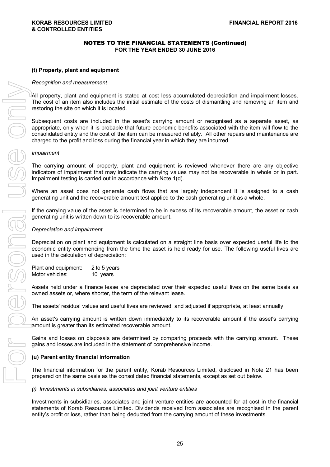#### **(t) Property, plant and equipment**

#### *Recognition and measurement*

All property, plant and equipment is stated at cost less accumulated depreciation and impairment losses. The cost of an item also includes the initial estimate of the costs of dismantling and removing an item and restoring the site on which it is located.

Subsequent costs are included in the asset's carrying amount or recognised as a separate asset, as appropriate, only when it is probable that future economic benefits associated with the item will flow to the consolidated entity and the cost of the item can be measured reliably. All other repairs and maintenance are charged to the profit and loss during the financial year in which they are incurred.

#### *Impairment*

The carrying amount of property, plant and equipment is reviewed whenever there are any objective indicators of impairment that may indicate the carrying values may not be recoverable in whole or in part. Impairment testing is carried out in accordance with Note 1(d).

Where an asset does not generate cash flows that are largely independent it is assigned to a cash generating unit and the recoverable amount test applied to the cash generating unit as a whole.

If the carrying value of the asset is determined to be in excess of its recoverable amount, the asset or cash generating unit is written down to its recoverable amount.

#### *Depreciation and impairment*

Depreciation on plant and equipment is calculated on a straight line basis over expected useful life to the economic entity commencing from the time the asset is held ready for use. The following useful lives are used in the calculation of depreciation:

| Plant and equipment: | 2 to 5 years |
|----------------------|--------------|
| Motor vehicles:      | 10 years     |

Assets held under a finance lease are depreciated over their expected useful lives on the same basis as owned assets or, where shorter, the term of the relevant lease.

The assets' residual values and useful lives are reviewed, and adjusted if appropriate, at least annually.

An asset's carrying amount is written down immediately to its recoverable amount if the asset's carrying amount is greater than its estimated recoverable amount.

Gains and losses on disposals are determined by comparing proceeds with the carrying amount. These gains and losses are included in the statement of comprehensive income.

#### **(u) Parent entity financial information**

The financial information for the parent entity, Korab Resources Limited, disclosed in Note 21 has been prepared on the same basis as the consolidated financial statements, except as set out below.

#### *(i) Investments in subsidiaries, associates and joint venture entities*

Investments in subsidiaries, associates and joint venture entities are accounted for at cost in the financial statements of Korab Resources Limited. Dividends received from associates are recognised in the parent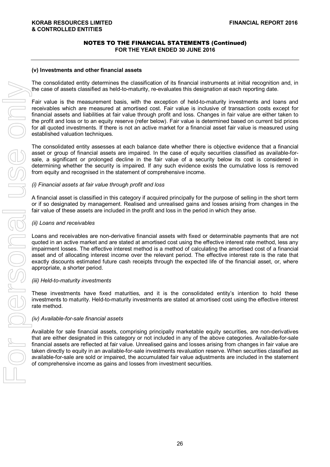## **(v) Investments and other financial assets**

The consolidated entity determines the classification of its financial instruments at initial recognition and, in the case of assets classified as held-to-maturity, re-evaluates this designation at each reporting date.

Fair value is the measurement basis, with the exception of held-to-maturity investments and loans and receivables which are measured at amortised cost. Fair value is inclusive of transaction costs except for financial assets and liabilities at fair value through profit and loss. Changes in fair value are either taken to the profit and loss or to an equity reserve (refer below). Fair value is determined based on current bid prices for all quoted investments. If there is not an active market for a financial asset fair value is measured using established valuation techniques.

The consolidated entity assesses at each balance date whether there is objective evidence that a financial asset or group of financial assets are impaired. In the case of equity securities classified as available-forsale, a significant or prolonged decline in the fair value of a security below its cost is considered in determining whether the security is impaired. If any such evidence exists the cumulative loss is removed from equity and recognised in the statement of comprehensive income.

### *(i) Financial assets at fair value through profit and loss*

A financial asset is classified in this category if acquired principally for the purpose of selling in the short term or if so designated by management. Realised and unrealised gains and losses arising from changes in the fair value of these assets are included in the profit and loss in the period in which they arise.

### *(ii) Loans and receivables*

Loans and receivables are non-derivative financial assets with fixed or determinable payments that are not quoted in an active market and are stated at amortised cost using the effective interest rate method, less any impairment losses. The effective interest method is a method of calculating the amortised cost of a financial asset and of allocating interest income over the relevant period. The effective interest rate is the rate that exactly discounts estimated future cash receipts through the expected life of the financial asset, or, where appropriate, a shorter period.

## *(iii) Held-to-maturity investments*

These investments have fixed maturities, and it is the consolidated entity's intention to hold these investments to maturity. Held-to-maturity investments are stated at amortised cost using the effective interest rate method.

#### *(iv) Available-for-sale financial assets*

Available for sale financial assets, comprising principally marketable equity securities, are non-derivatives that are either designated in this category or not included in any of the above categories. Available-for-sale financial assets are reflected at fair value. Unrealised gains and losses arising from changes in fair value are taken directly to equity in an available-for-sale investments revaluation reserve. When securities classified as available-for-sale are sold or impaired, the accumulated fair value adjustments are included in the statement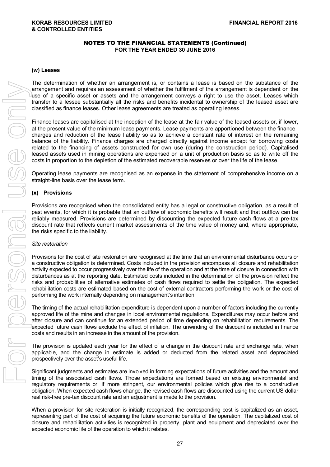#### **(w) Leases**

The determination of whether an arrangement is, or contains a lease is based on the substance of the arrangement and requires an assessment of whether the fulfilment of the arrangement is dependent on the use of a specific asset or assets and the arrangement conveys a right to use the asset. Leases which transfer to a lessee substantially all the risks and benefits incidental to ownership of the leased asset are classified as finance leases. Other lease agreements are treated as operating leases.

Finance leases are capitalised at the inception of the lease at the fair value of the leased assets or, if lower, at the present value of the minimum lease payments. Lease payments are apportioned between the finance charges and reduction of the lease liability so as to achieve a constant rate of interest on the remaining balance of the liability. Finance charges are charged directly against income except for borrowing costs related to the financing of assets constructed for own use (during the construction period). Capitalised leased assets used in mining operations are expensed on a unit of production basis so as to write off the costs in proportion to the depletion of the estimated recoverable reserves or over the life of the lease.

Operating lease payments are recognised as an expense in the statement of comprehensive income on a straight-line basis over the lease term.

#### **(x) Provisions**

Provisions are recognised when the consolidated entity has a legal or constructive obligation, as a result of past events, for which it is probable that an outflow of economic benefits will result and that outflow can be reliably measured. Provisions are determined by discounting the expected future cash flows at a pre-tax discount rate that reflects current market assessments of the time value of money and, where appropriate, the risks specific to the liability.

#### *Site restoration*

Provisions for the cost of site restoration are recognised at the time that an environmental disturbance occurs or a constructive obligation is determined. Costs included in the provision encompass all closure and rehabilitation activity expected to occur progressively over the life of the operation and at the time of closure in connection with disturbances as at the reporting date. Estimated costs included in the determination of the provision reflect the risks and probabilities of alternative estimates of cash flows required to settle the obligation. The expected rehabilitation costs are estimated based on the cost of external contractors performing the work or the cost of performing the work internally depending on management's intention.

The timing of the actual rehabilitation expenditure is dependent upon a number of factors including the currently approved life of the mine and changes in local environmental regulations. Expenditures may occur before and after closure and can continue for an extended period of time depending on rehabilitation requirements. The expected future cash flows exclude the effect of inflation. The unwinding of the discount is included in finance costs and results in an increase in the amount of the provision.

The provision is updated each year for the effect of a change in the discount rate and exchange rate, when applicable, and the change in estimate is added or deducted from the related asset and depreciated prospectively over the asset's useful life.

Significant judgments and estimates are involved in forming expectations of future activities and the amount and timing of the associated cash flows. Those expectations are formed based on existing environmental and regulatory requirements or, if more stringent, our environmental policies which give rise to a constructive obligation. When expected cash flows change, the revised cash flows are discounted using the current US dollar real risk-free pre-tax discount rate and an adjustment is made to the provision.

When a provision for site restoration is initially recognized, the corresponding cost is capitalized as an asset, representing part of the cost of acquiring the future economic benefits of the operation. The capitalized cost of closure and rehabilitation activities is recognized in property, plant and equipment and depreciated over the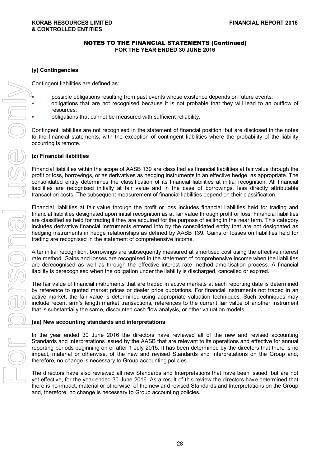## **(y) Contingencies**

Contingent liabilities are defined as:

- possible obligations resulting from past events whose existence depends on future events;
- obligations that are not recognised because it is not probable that they will lead to an outflow of resources;
- obligations that cannot be measured with sufficient reliability.

Contingent liabilities are not recognised in the statement of financial position, but are disclosed in the notes to the financial statements, with the exception of contingent liabilities where the probability of the liability occurring is remote.

## **(z) Financial liabilities**

Financial liabilities within the scope of AASB 139 are classified as financial liabilities at fair value through the profit or loss, borrowings, or as derivatives as hedging instruments in an effective hedge, as appropriate. The consolidated entity determines the classification of its financial liabilities at initial recognition. All financial liabilities are recognised initially at fair value and in the case of borrowings, less directly attributable transaction costs. The subsequent measurement of financial liabilities depend on their classification.

Financial liabilities at fair value through the profit or loss includes financial liabilities held for trading and financial liabilities designated upon initial recognition as at fair value through profit or loss. Financial liabilities are classified as held for trading if they are acquired for the purpose of selling in the near term. This category includes derivative financial instruments entered into by the consolidated entity that are not designated as hedging instruments in hedge relationships as defined by AASB 139. Gains or losses on liabilities held for trading are recognised in the statement of comprehensive income. Configured Habitaties are celebred as well or personal or the new and revised Standards and revised Standards and revised Standards and revised Standards and Interpretations (The new and revised Standards and Interpretati

After initial recognition, borrowings are subsequently measured at amortised cost using the effective interest rate method. Gains and losses are recognised in the statement of comprehensive income when the liabilities are derecognised as well as through the effective interest rate method amortisation process. A financial liability is derecognised when the obligation under the liability is discharged, cancelled or expired.

The fair value of financial instruments that are traded in active markets at each reporting date is determined by reference to quoted market prices or dealer price quotations. For financial instruments not traded in an active market, the fair value is determined using appropriate valuation techniques. Such techniques may include recent arm's length market transactions, references to the current fair value of another instrument that is substantially the same, discounted cash flow analysis, or other valuation models.

## **(aa) New accounting standards and interpretations**

In the year ended 30 June 2016 the directors have reviewed all of the new and revised accounting Standards and Interpretations issued by the AASB that are relevant to its operations and effective for annual reporting periods beginning on or after 1 July 2015. It has been determined by the directors that there is no impact, material or otherwise, of the new and revised Standards and Interpretations on the Group and, therefore, no change is necessary to Group accounting policies.

The directors have also reviewed all new Standards and Interpretations that have been issued, but are not yet effective, for the year ended 30 June 2016. As a result of this review the directors have determined that and, therefore, no change is necessary to Group accounting policies.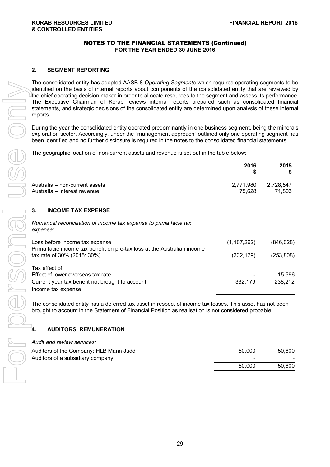## **2. SEGMENT REPORTING**

The consolidated entity has adopted AASB 8 *Operating Segments* which requires operating segments to be identified on the basis of internal reports about components of the consolidated entity that are reviewed by the chief operating decision maker in order to allocate resources to the segment and assess its performance. The Executive Chairman of Korab reviews internal reports prepared such as consolidated financial statements, and strategic decisions of the consolidated entity are determined upon analysis of these internal reports.

|                                | 2016      | 2015<br>S. |
|--------------------------------|-----------|------------|
| Australia – non-current assets | 2.771.980 | 2,728,547  |
| Australia – interest revenue   | 75.628    | 71.803     |

## **3. INCOME TAX EXPENSE**

| The consolidated entity has adopted AASB 8 Operating Segments which requires operating segments to be<br>identified on the basis of internal reports about components of the consolidated entity that are reviewed b<br>the chief operating decision maker in order to allocate resources to the segment and assess its performance<br>The Executive Chairman of Korab reviews internal reports prepared such as consolidated financia<br>statements, and strategic decisions of the consolidated entity are determined upon analysis of these interna<br>reports. |                     |                     |
|--------------------------------------------------------------------------------------------------------------------------------------------------------------------------------------------------------------------------------------------------------------------------------------------------------------------------------------------------------------------------------------------------------------------------------------------------------------------------------------------------------------------------------------------------------------------|---------------------|---------------------|
| During the year the consolidated entity operated predominantly in one business segment, being the mineral<br>exploration sector. Accordingly, under the "management approach" outlined only one operating segment ha<br>been identified and no further disclosure is required in the notes to the consolidated financial statements.                                                                                                                                                                                                                               |                     |                     |
| The geographic location of non-current assets and revenue is set out in the table below:                                                                                                                                                                                                                                                                                                                                                                                                                                                                           |                     |                     |
|                                                                                                                                                                                                                                                                                                                                                                                                                                                                                                                                                                    | 2016                | 2015                |
| Australia – non-current assets<br>Australia - interest revenue                                                                                                                                                                                                                                                                                                                                                                                                                                                                                                     | 2,771,980<br>75,628 | 2,728,547<br>71,803 |
| <b>INCOME TAX EXPENSE</b><br>3.                                                                                                                                                                                                                                                                                                                                                                                                                                                                                                                                    |                     |                     |
| Numerical reconciliation of income tax expense to prima facie tax<br>expense:                                                                                                                                                                                                                                                                                                                                                                                                                                                                                      |                     |                     |
| Loss before income tax expense                                                                                                                                                                                                                                                                                                                                                                                                                                                                                                                                     | (1, 107, 262)       | (846,028)           |
| Prima facie income tax benefit on pre-tax loss at the Australian income<br>tax rate of 30% (2015: 30%)                                                                                                                                                                                                                                                                                                                                                                                                                                                             | (332, 179)          | (253, 808)          |
| Tax effect of:<br>Effect of lower overseas tax rate                                                                                                                                                                                                                                                                                                                                                                                                                                                                                                                |                     | 15,596              |
| Current year tax benefit not brought to account                                                                                                                                                                                                                                                                                                                                                                                                                                                                                                                    | 332,179             | 238,212             |
| Income tax expense                                                                                                                                                                                                                                                                                                                                                                                                                                                                                                                                                 |                     |                     |
| The consolidated entity has a deferred tax asset in respect of income tax losses. This asset has not been<br>brought to account in the Statement of Financial Position as realisation is not considered probable.                                                                                                                                                                                                                                                                                                                                                  |                     |                     |
| <b>AUDITORS' REMUNERATION</b><br>4.                                                                                                                                                                                                                                                                                                                                                                                                                                                                                                                                |                     |                     |
| Audit and review services:                                                                                                                                                                                                                                                                                                                                                                                                                                                                                                                                         |                     |                     |
| Auditors of the Company: HLB Mann Judd                                                                                                                                                                                                                                                                                                                                                                                                                                                                                                                             | 50,000              | 50,600              |
| Auditors of a subsidiary company                                                                                                                                                                                                                                                                                                                                                                                                                                                                                                                                   | 50,000              | 50,600              |
|                                                                                                                                                                                                                                                                                                                                                                                                                                                                                                                                                                    |                     |                     |
|                                                                                                                                                                                                                                                                                                                                                                                                                                                                                                                                                                    |                     |                     |

## **4. AUDITORS' REMUNERATION**

| Auditors of the Company: HLB Mann Judd | 50.000                   | 50,600 |
|----------------------------------------|--------------------------|--------|
| Auditors of a subsidiary company       | $\overline{\phantom{0}}$ |        |
|                                        | 50,000                   | 50,600 |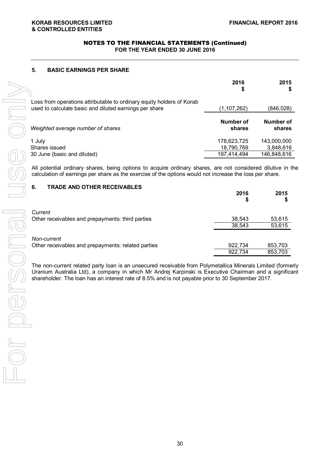## **5. BASIC EARNINGS PER SHARE**

|                                                                                                                                 | 2016<br>\$                | 2015<br>S                |
|---------------------------------------------------------------------------------------------------------------------------------|---------------------------|--------------------------|
| Loss from operations attributable to ordinary equity holders of Korab<br>used to calculate basic and diluted earnings per share | (1, 107, 262)             | (846, 028)               |
| Weighted average number of shares                                                                                               | Number of<br>shares       | Number of<br>shares      |
| 1 July<br>Shares issued                                                                                                         | 178,623,725<br>18,790,769 | 143,000,000<br>3,848,616 |
| 30 June (basic and diluted)                                                                                                     | 197,414,494               | 146,848,616              |

All potential ordinary shares, being options to acquire ordinary shares, are not considered dilutive in the calculation of earnings per share as the exercise of the options would not increase the loss per share.

## **6. TRADE AND OTHER RECEIVABLES**

|                                                                                                                                                                                                             | 2016<br>S | 2015<br>P |
|-------------------------------------------------------------------------------------------------------------------------------------------------------------------------------------------------------------|-----------|-----------|
| Current                                                                                                                                                                                                     |           |           |
| Other receivables and prepayments: third parties                                                                                                                                                            | 38,543    | 53,615    |
|                                                                                                                                                                                                             | 38,543    | 53,615    |
| Non-current                                                                                                                                                                                                 |           |           |
| Other receivables and prepayments: related parties                                                                                                                                                          | 922,734   | 853,703   |
|                                                                                                                                                                                                             | 922,734   | 853,703   |
| Uranium Australia Ltd), a company in which Mr Andrej Karpinski is Executive Chairman and a significant<br>shareholder. The loan has an interest rate of 8.5% and is not payable prior to 30 September 2017. |           |           |
|                                                                                                                                                                                                             |           |           |
|                                                                                                                                                                                                             |           |           |
|                                                                                                                                                                                                             |           |           |
|                                                                                                                                                                                                             |           |           |
|                                                                                                                                                                                                             |           |           |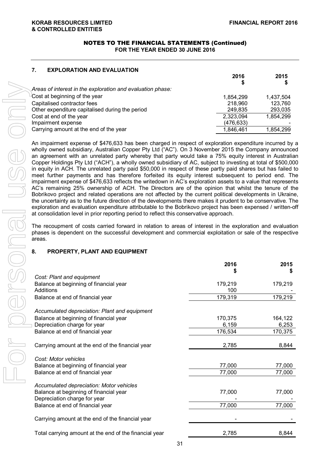#### **KORAB RESOURCES LIMITED FINANCIAL REPORT 2016 & CONTROLLED ENTITIES**

## NOTES TO THE FINANCIAL STATEMENTS (Continued) **FOR THE YEAR ENDED 30 JUNE 2016**

| \$<br>Areas of interest in the exploration and evaluation phase:<br>Cost at beginning of the year<br>1.854.299<br>Capitalised contractor fees<br>218,960<br>Other expenditure capitalised during the period<br>249,835<br>2,323,094<br>Cost at end of the year | <b>EXPLORATION AND EVALUATION</b><br>7. |            |           |
|----------------------------------------------------------------------------------------------------------------------------------------------------------------------------------------------------------------------------------------------------------------|-----------------------------------------|------------|-----------|
|                                                                                                                                                                                                                                                                |                                         | 2016       | 2015      |
|                                                                                                                                                                                                                                                                |                                         |            |           |
|                                                                                                                                                                                                                                                                |                                         |            | 1.437.504 |
|                                                                                                                                                                                                                                                                |                                         |            | 123,760   |
|                                                                                                                                                                                                                                                                |                                         |            | 293,035   |
|                                                                                                                                                                                                                                                                |                                         |            | 1,854,299 |
|                                                                                                                                                                                                                                                                | Impairment expense                      | (476, 633) |           |
| Carrying amount at the end of the year<br>1,846,461                                                                                                                                                                                                            |                                         |            | 1,854,299 |

An impairment expense of \$476,633 has been charged in respect of exploration expenditure incurred by a wholly owned subsidiary, Australian Copper Pty Ltd ("AC"). On 3 November 2015 the Company announced an agreement with an unrelated party whereby that party would take a 75% equity interest in Australian Copper Holdings Pty Ltd ("ACH"), a wholly owned subsidiary of AC, subject to investing at total of \$500,000 in equity in ACH. The unrelated party paid \$50,000 in respect of these partly paid shares but has failed to meet further payments and has therefore forfeited its equity interest subsequent to period end. The impairment expense of \$476,633 reflects the writedown in AC's exploration assets to a value that represents AC's remaining 25% ownership of ACH. The Directors are of the opinion that whilst the tenure of the Bobrikovo project and related operations are not affected by the current political developments in Ukraine, the uncertainty as to the future direction of the developments there makes it prudent to be conservative. The exploration and evaluation expenditure attributable to the Bobrikovo project has been expensed / written-off at consolidation level in prior reporting period to reflect this conservative approach.

The recoupment of costs carried forward in relation to areas of interest in the exploration and evaluation phases is dependent on the successful development and commercial exploitation or sale of the respective areas.

## **8. PROPERTY, PLANT AND EQUIPMENT**

|                                                        | 2016<br>S | 2015<br>S |
|--------------------------------------------------------|-----------|-----------|
| Cost: Plant and equipment                              |           |           |
| Balance at beginning of financial year                 | 179,219   | 179,219   |
| Additions                                              | 100       |           |
| Balance at end of financial year                       | 179,319   | 179,219   |
| Accumulated depreciation: Plant and equipment          |           |           |
| Balance at beginning of financial year                 | 170,375   | 164,122   |
| Depreciation charge for year                           | 6,159     | 6,253     |
| Balance at end of financial year                       | 176,534   | 170,375   |
| Carrying amount at the end of the financial year       | 2,785     | 8,844     |
| Cost: Motor vehicles                                   |           |           |
| Balance at beginning of financial year                 | 77,000    | 77,000    |
| Balance at end of financial year                       | 77,000    | 77,000    |
| Accumulated depreciation: Motor vehicles               |           |           |
| Balance at beginning of financial year                 | 77,000    | 77,000    |
| Depreciation charge for year                           |           |           |
| Balance at end of financial year                       | 77,000    | 77,000    |
| Carrying amount at the end of the financial year       |           |           |
| Total carrying amount at the end of the financial year | 2,785     | 8,844     |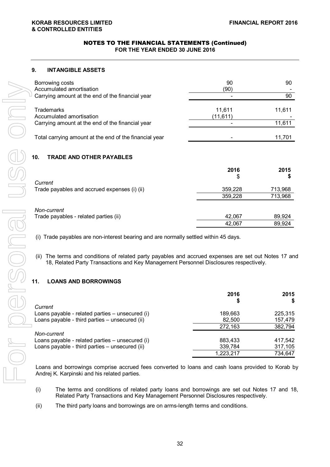#### **KORAB RESOURCES LIMITED FINANCIAL REPORT 2016 & CONTROLLED ENTITIES**

## NOTES TO THE FINANCIAL STATEMENTS (Continued) **FOR THE YEAR ENDED 30 JUNE 2016**

## **9. INTANGIBLE ASSETS**

| Borrowing costs<br>Accumulated amortisation<br>Carrying amount at the end of the financial year   | 90<br>(90)          | 90<br>90         |
|---------------------------------------------------------------------------------------------------|---------------------|------------------|
| <b>Trademarks</b><br>Accumulated amortisation<br>Carrying amount at the end of the financial year | 11,611<br>(11, 611) | 11.611<br>11,611 |
| Total carrying amount at the end of the financial year                                            |                     | 11.701           |

## **10. TRADE AND OTHER PAYABLES**

| Current                                      | 2016<br>\$ | 2015    |
|----------------------------------------------|------------|---------|
| Trade payables and accrued expenses (i) (ii) | 359,228    | 713,968 |
|                                              | 359,228    | 713,968 |
| Non-current                                  |            |         |
| Trade payables - related parties (ii)        | 42,067     | 89,924  |
|                                              | 42,067     | 89,924  |

(i) Trade payables are non-interest bearing and are normally settled within 45 days.

(ii) The terms and conditions of related party payables and accrued expenses are set out Notes 17 and 18, Related Party Transactions and Key Management Personnel Disclosures respectively.

## **11. LOANS AND BORROWINGS**

|                                                 | 2016      | 2015    |
|-------------------------------------------------|-----------|---------|
|                                                 | S         | S       |
| Current                                         |           |         |
| Loans payable - related parties - unsecured (i) | 189.663   | 225,315 |
| Loans payable - third parties - unsecured (ii)  | 82.500    | 157,479 |
|                                                 | 272,163   | 382,794 |
| Non-current                                     |           |         |
| Loans payable - related parties - unsecured (i) | 883.433   | 417,542 |
| Loans payable - third parties - unsecured (ii)  | 339,784   | 317,105 |
|                                                 | 1,223,217 | 734,647 |

Loans and borrowings comprise accrued fees converted to loans and cash loans provided to Korab by Andrej K. Karpinski and his related parties.

- (i) The terms and conditions of related party loans and borrowings are set out Notes 17 and 18, Related Party Transactions and Key Management Personnel Disclosures respectively.
- (ii) The third party loans and borrowings are on arms-length terms and conditions.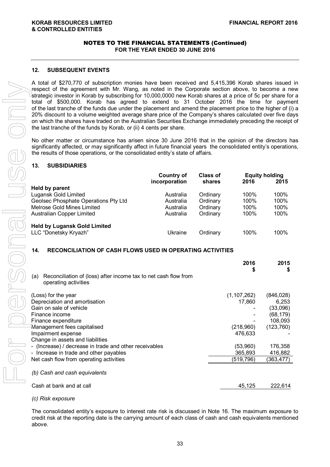#### **12. SUBSEQUENT EVENTS**

A total of \$270,770 of subscription monies have been received and 5,415,396 Korab shares issued in respect of the agreement with Mr. Wang, as noted in the Corporate section above, to become a new strategic investor in Korab by subscribing for 10,000,0000 new Korab shares at a price of 5c per share for a total of \$500,000. Korab has agreed to extend to 31 October 2016 the time for payment of the last tranche of the funds due under the placement and amend the placement price to the higher of (i) a 20% discount to a volume weighted average share price of the Company's shares calculated over five days on which the shares have traded on the Australian Securities Exchange immediately preceding the receipt of the last tranche of the funds by Korab, or (ii) 4 cents per share.

No other matter or circumstance has arisen since 30 June 2016 that in the opinion of the directors has significantly affected, or may significantly affect in future financial years the consolidated entity's operations, the results of those operations, or the consolidated entity's state of affairs.

### **13. SUBSIDIARIES**

|                                      | Country of    | Class of | <b>Equity holding</b> |      |
|--------------------------------------|---------------|----------|-----------------------|------|
|                                      | incorporation | shares   | 2016                  | 2015 |
| Held by parent                       |               |          |                       |      |
| Lugansk Gold Limited                 | Australia     | Ordinary | 100%                  | 100% |
| Geolsec Phosphate Operations Pty Ltd | Australia     | Ordinary | 100%                  | 100% |
| <b>Melrose Gold Mines Limited</b>    | Australia     | Ordinary | 100%                  | 100% |
| Australian Copper Limited            | Australia     | Ordinary | 100%                  | 100% |
| <b>Held by Lugansk Gold Limited</b>  |               |          |                       |      |
| LLC "Donetsky Kryazh"                | Ukraine       | Ordinary | 100%                  | 100% |

## **14. RECONCILIATION OF CASH FLOWS USED IN OPERATING ACTIVITIES**

| Reconciliation of (loss) after income tax to net cash flow from<br>(a)                                                                                                                                                                                                      | 2016<br>S                                                   | 2015<br>S                                                                        |
|-----------------------------------------------------------------------------------------------------------------------------------------------------------------------------------------------------------------------------------------------------------------------------|-------------------------------------------------------------|----------------------------------------------------------------------------------|
| operating activities                                                                                                                                                                                                                                                        |                                                             |                                                                                  |
| (Loss) for the year<br>Depreciation and amortisation<br>Gain on sale of vehicle<br>Finance income<br>Finance expenditure<br>Management fees capitalised<br>Impairment expense<br>Change in assets and liabilities<br>- (Increase) / decrease in trade and other receivables | (1, 107, 262)<br>17,860<br>(218,960)<br>476.633<br>(53,960) | (846, 028)<br>6.253<br>(33,096)<br>(68, 179)<br>108,093<br>(123, 760)<br>176,358 |
| - Increase in trade and other payables<br>Net cash flow from operating activities                                                                                                                                                                                           | 365,893<br>(519,796)                                        | 416,882<br>(363, 477)                                                            |
| (b) Cash and cash equivalents<br>Cash at bank and at call                                                                                                                                                                                                                   | 45,125                                                      | 222,614                                                                          |

*(c) Risk exposure* 

The consolidated entity's exposure to interest rate risk is discussed in Note 16. The maximum exposure to credit risk at the reporting date is the carrying amount of each class of cash and cash equivalents mentioned above.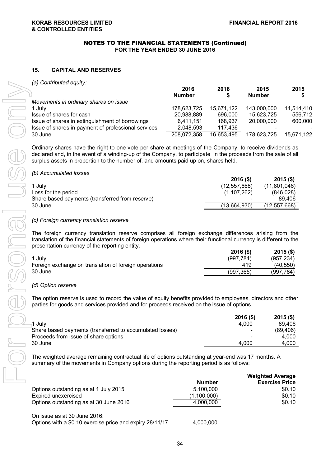## **15. CAPITAL AND RESERVES**

#### *(a) Contributed equity:*

|                                                     | 2016<br><b>Number</b> | 2016       | 2015<br><b>Number</b>    | 2015<br>\$ |
|-----------------------------------------------------|-----------------------|------------|--------------------------|------------|
| Movements in ordinary shares on issue               |                       |            |                          |            |
| 1 July                                              | 178,623,725           | 15,671,122 | 143,000,000              | 14,514,410 |
| Issue of shares for cash                            | 20.988.889            | 696,000    | 15,623,725               | 556.712    |
| Issue of shares in extinguishment of borrowings     | 6.411.151             | 168.937    | 20,000,000               | 600,000    |
| Issue of shares in payment of professional services | 2.048.593             | 117,436    | $\overline{\phantom{0}}$ |            |
| 30 June                                             | 208,072,358           | 16,653,495 | 178,623,725              | 15,671,122 |

Ordinary shares have the right to one vote per share at meetings of the Company, to receive dividends as declared and, in the event of a winding-up of the Company, to participate in the proceeds from the sale of all surplus assets in proportion to the number of, and amounts paid up on, shares held.

#### *(b) Accumulated losses*

|                                                 | $2016($ \$)    | $2015($ \$)    |
|-------------------------------------------------|----------------|----------------|
| 1 July                                          | (12, 557, 668) | (11,801,046)   |
| Loss for the period                             | (1, 107, 262)  | (846.028)      |
| Share based payments (transferred from reserve) | -              | 89.406         |
| 30 June                                         | (13,664,930)   | (12, 557, 668) |

#### *(c) Foreign currency translation reserve*

The foreign currency translation reserve comprises all foreign exchange differences arising from the translation of the financial statements of foreign operations where their functional currency is different to the presentation currency of the reporting entity.

|                                                       | $2016($ \$) | $2015($ \$) |
|-------------------------------------------------------|-------------|-------------|
| 1 July                                                | (997.784)   | (957, 234)  |
| Foreign exchange on translation of foreign operations | 419         | (40.550)    |
| 30 June                                               | (997.365)   | (997, 784)  |

#### *(d) Option reserve*

The option reserve is used to record the value of equity benefits provided to employees, directors and other parties for goods and services provided and for proceeds received on the issue of options.

|                                                          | $2016($ \$) | $2015($ \$) |
|----------------------------------------------------------|-------------|-------------|
| ⊣1 Julv                                                  | 4.000       | 89.406      |
| Share based payments (transferred to accumulated losses) | $\,$        | (89, 406)   |
| Proceeds from issue of share options                     | -           | 4.000       |
| 30 June                                                  | 4.000       | 4.000       |

The weighted average remaining contractual life of options outstanding at year-end was 17 months. A summary of the movements in Company options during the reporting period is as follows:

|                                        |               | <b>Weighted Average</b> |
|----------------------------------------|---------------|-------------------------|
|                                        | <b>Number</b> | <b>Exercise Price</b>   |
| Options outstanding as at 1 July 2015  | 5,100,000     | \$0.10                  |
| Expired unexercised                    | (1,100,000)   | \$0.10                  |
| Options outstanding as at 30 June 2016 | 4,000,000     | \$0.10                  |
| On issue as at 30 June 2016:           |               |                         |

Options with a \$0.10 exercise price and expiry 28/11/17 4,000,000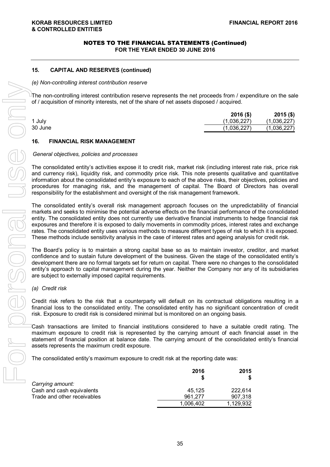## **15. CAPITAL AND RESERVES (continued)**

#### *(e) Non-controlling interest contribution reserve*

The non-controlling interest contribution reserve represents the net proceeds from / expenditure on the sale of / acquisition of minority interests, net of the share of net assets disposed / acquired.

|         | $2016($ \$) | $2015($ \$) |
|---------|-------------|-------------|
| 1 July  | (1,036,227) | (1,036,227) |
| 30 June | (1,036,227) | (1,036,227) |

### **16. FINANCIAL RISK MANAGEMENT**

#### *General objectives, policies and processes*

The consolidated entity's activities expose it to credit risk, market risk (including interest rate risk, price risk and currency risk), liquidity risk, and commodity price risk. This note presents qualitative and quantitative information about the consolidated entity's exposure to each of the above risks, their objectives, policies and procedures for managing risk, and the management of capital. The Board of Directors has overall responsibility for the establishment and oversight of the risk management framework.

The consolidated entity's overall risk management approach focuses on the unpredictability of financial markets and seeks to minimise the potential adverse effects on the financial performance of the consolidated entity. The consolidated entity does not currently use derivative financial instruments to hedge financial risk exposures and therefore it is exposed to daily movements in commodity prices, interest rates and exchange rates. The consolidated entity uses various methods to measure different types of risk to which it is exposed. These methods include sensitivity analysis in the case of interest rates and ageing analysis for credit risk.

The Board's policy is to maintain a strong capital base so as to maintain investor, creditor, and market confidence and to sustain future development of the business. Given the stage of the consolidated entity's development there are no formal targets set for return on capital. There were no changes to the consolidated entity's approach to capital management during the year. Neither the Company nor any of its subsidiaries are subject to externally imposed capital requirements.

#### *(a) Credit risk*

Credit risk refers to the risk that a counterparty will default on its contractual obligations resulting in a financial loss to the consolidated entity. The consolidated entity has no significant concentration of credit risk. Exposure to credit risk is considered minimal but is monitored on an ongoing basis.

Cash transactions are limited to financial institutions considered to have a suitable credit rating. The maximum exposure to credit risk is represented by the carrying amount of each financial asset in the statement of financial position at balance date. The carrying amount of the consolidated entity's financial assets represents the maximum credit exposure.

The consolidated entity's maximum exposure to credit risk at the reporting date was:

|                             | 2016      | 2015      |
|-----------------------------|-----------|-----------|
| Carrying amount:            |           |           |
| Cash and cash equivalents   | 45.125    | 222.614   |
| Trade and other receivables | 961.277   | 907.318   |
|                             | 1.006.402 | 1.129.932 |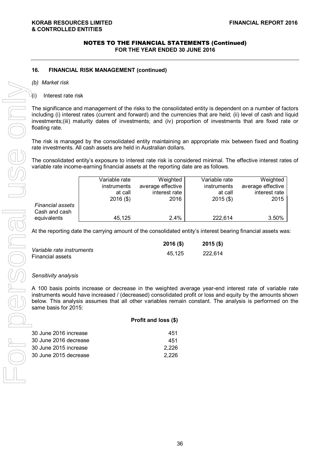### **16. FINANCIAL RISK MANAGEMENT (continued)**

- *(b) Market risk*
- $\mathbb{H}$ (i) Interest rate risk

The significance and management of the risks to the consolidated entity is dependent on a number of factors including (i) interest rates (current and forward) and the currencies that are held; (ii) level of cash and liquid investments;(iii) maturity dates of investments; and (iv) proportion of investments that are fixed rate or floating rate.

The risk is managed by the consolidated entity maintaining an appropriate mix between fixed and floating rate investments. All cash assets are held in Australian dollars.

The consolidated entity's exposure to interest rate risk is considered minimal. The effective interest rates of variable rate income-earning financial assets at the reporting date are as follows.

|                           | Variable rate                                                                                                 | Weighted          | Variable rate                                                                                            | Weighted          |  |
|---------------------------|---------------------------------------------------------------------------------------------------------------|-------------------|----------------------------------------------------------------------------------------------------------|-------------------|--|
|                           | <i>instruments</i>                                                                                            | average effective | instruments                                                                                              | average effective |  |
|                           | at call                                                                                                       | interest rate     | at call                                                                                                  | interest rate     |  |
|                           | $2016($ \$)                                                                                                   | 2016              | $2015($ \$)                                                                                              | 2015              |  |
| <b>Financial assets</b>   |                                                                                                               |                   |                                                                                                          |                   |  |
| Cash and cash             |                                                                                                               |                   |                                                                                                          |                   |  |
| equivalents               | 45,125                                                                                                        | 2.4%              | 222,614                                                                                                  | 3.50%             |  |
|                           | At the reporting date the carrying amount of the consolidated entity's interest bearing financial assets was: |                   |                                                                                                          |                   |  |
|                           |                                                                                                               | $2016($ \$)       | $2015($ \$)                                                                                              |                   |  |
| Variable rate instruments |                                                                                                               | 45,125            | 222,614                                                                                                  |                   |  |
| <b>Financial assets</b>   |                                                                                                               |                   |                                                                                                          |                   |  |
| Sensitivity analysis      |                                                                                                               |                   |                                                                                                          |                   |  |
|                           | A 100 basis points increase or decrease in the weighted average year-end interest rate of variable ra         |                   | instruments would hove increased / (decreased) consolidated profit or loss and equity by the amounts sho |                   |  |

|                           | $2016($ \$) | $2015($ \$) |
|---------------------------|-------------|-------------|
| Variable rate instruments | 45.125      | 222.614     |
| Financial assets          |             |             |

#### *Sensitivity analysis*

A 100 basis points increase or decrease in the weighted average year-end interest rate of variable rate instruments would have increased / (decreased) consolidated profit or loss and equity by the amounts shown below. This analysis assumes that all other variables remain constant. The analysis is performed on the same basis for 2015:

**Profit and loss (\$)**

|                       | Pront and 10SS (3) |
|-----------------------|--------------------|
| 30 June 2016 increase | 451                |
| 30 June 2016 decrease | 451                |
| 30 June 2015 increase | 2.226              |
| 30 June 2015 decrease | 2.226              |
|                       |                    |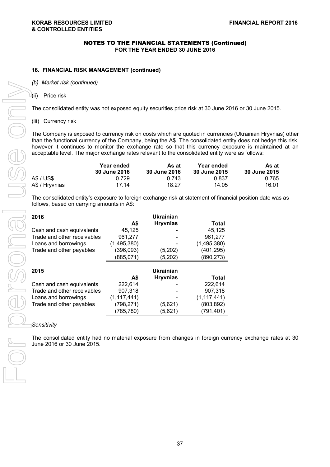#### **16. FINANCIAL RISK MANAGEMENT (continued)**

- *(b) Market risk (continued)*
- $\mathbb{H}$ (ii) Price risk

The consolidated entity was not exposed equity securities price risk at 30 June 2016 or 30 June 2015.

(iii) Currency risk

The Company is exposed to currency risk on costs which are quoted in currencies (Ukrainian Hryvnias) other than the functional currency of the Company, being the A\$. The consolidated entity does not hedge this risk, however it continues to monitor the exchange rate so that this currency exposure is maintained at an acceptable level. The major exchange rates relevant to the consolidated entity were as follows:

|                | Year ended<br><b>30 June 2016</b> | As at<br><b>30 June 2016</b> | Year ended<br><b>30 June 2015</b> | As at<br>30 June 2015 |
|----------------|-----------------------------------|------------------------------|-----------------------------------|-----------------------|
| A\$ / US\$     | 0.729                             | 0.743                        | 0.837                             | 0.765                 |
| A\$ / Hryvnias | 17 14                             | 18.27                        | 14.05                             | 16.01                 |

The consolidated entity's exposure to foreign exchange risk at statement of financial position date was as follows, based on carrying amounts in A\$:

| 2016                        |               | Ukrainian        |               |
|-----------------------------|---------------|------------------|---------------|
|                             | A\$           | <b>Hryvnias</b>  | Total         |
| Cash and cash equivalents   | 45,125        |                  | 45,125        |
| Trade and other receivables | 961,277       |                  | 961,277       |
| Loans and borrowings        | (1,495,380)   |                  | (1,495,380)   |
| Trade and other payables    | (396, 093)    | (5,202)          | (401,295)     |
|                             | (885, 071)    | (5,202)          | (890, 273)    |
|                             |               |                  |               |
|                             |               |                  |               |
| 2015                        |               | <b>Ukrainian</b> |               |
|                             | A\$           | <b>Hryvnias</b>  | Total         |
| Cash and cash equivalents   | 222,614       |                  | 222,614       |
| Trade and other receivables | 907,318       |                  | 907,318       |
| Loans and borrowings        | (1, 117, 441) |                  | (1, 117, 441) |
| Trade and other payables    | (798,271)     | (5,621)          | (803, 892)    |

## *Sensitivity*

The consolidated entity had no material exposure from changes in foreign currency exchange rates at 30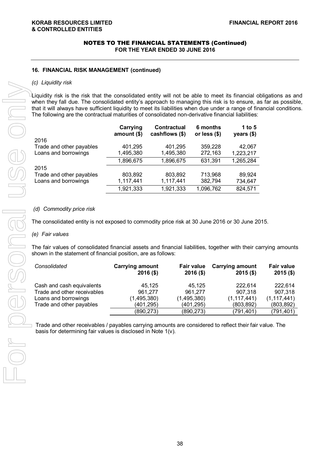#### **16. FINANCIAL RISK MANAGEMENT (continued)**

#### *(c) Liquidity risk*

 $\perp$ Liquidity risk is the risk that the consolidated entity will not be able to meet its financial obligations as and when they fall due. The consolidated entity's approach to managing this risk is to ensure, as far as possible, that it will always have sufficient liquidity to meet its liabilities when due under a range of financial conditions. The following are the contractual maturities of consolidated non-derivative financial liabilities:

|                          | Carrying<br>amount $($)$ | <b>Contractual</b><br>cashflows (\$) | 6 months<br>or less $(\$)$ | 1 to 5<br>years (\$) |
|--------------------------|--------------------------|--------------------------------------|----------------------------|----------------------|
| 2016                     |                          |                                      |                            |                      |
| Trade and other payables | 401,295                  | 401,295                              | 359,228                    | 42,067               |
| Loans and borrowings     | 1,495,380                | 1,495,380                            | 272,163                    | 1,223,217            |
|                          | 1,896,675                | 1,896,675                            | 631,391                    | 1,265,284            |
| 2015                     |                          |                                      |                            |                      |
| Trade and other payables | 803,892                  | 803,892                              | 713,968                    | 89,924               |
| Loans and borrowings     | 1,117,441                | 1,117,441                            | 382,794                    | 734,647              |
|                          | 1,921,333                | 1,921,333                            | 1,096,762                  | 824,571              |

The consolidated entity is not exposed to commodity price risk at 30 June 2016 or 30 June 2015.

#### *(e) Fair values*

The fair values of consolidated financial assets and financial liabilities, together with their carrying amounts shown in the statement of financial position, are as follows:

| Consolidated                                                                                                 | <b>Carrying amount</b>                                      | <b>Fair value</b>                                           | <b>Carrying amount</b>                                          | <b>Fair value</b>                                               |
|--------------------------------------------------------------------------------------------------------------|-------------------------------------------------------------|-------------------------------------------------------------|-----------------------------------------------------------------|-----------------------------------------------------------------|
|                                                                                                              | $2016($ \$)                                                 | $2016($ \$)                                                 | $2015($ \$)                                                     | $2015($ \$)                                                     |
| Cash and cash equivalents<br>Trade and other receivables<br>Loans and borrowings<br>Trade and other payables | 45.125<br>961,277<br>(1,495,380)<br>(401,295)<br>(890, 273) | 45.125<br>961,277<br>(1,495,380)<br>(401,295)<br>(890, 273) | 222,614<br>907,318<br>(1, 117, 441)<br>(803, 892)<br>(791, 401) | 222,614<br>907,318<br>(1, 117, 441)<br>(803, 892)<br>(791, 401) |

Trade and other receivables / payables carrying amounts are considered to reflect their fair value. The basis for determining fair values is disclosed in Note 1(v).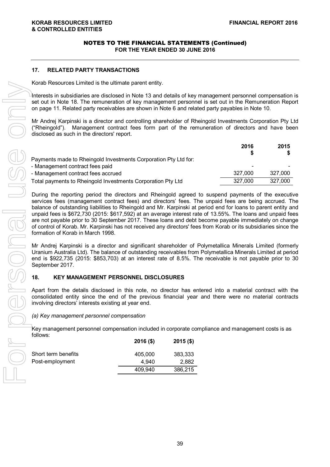## **17. RELATED PARTY TRANSACTIONS**

Korab Resources Limited is the ultimate parent entity.

Interests in subsidiaries are disclosed in Note 13 and details of key management personnel compensation is set out in Note 18. The remuneration of key management personnel is set out in the Remuneration Report on page 11. Related party receivables are shown in Note 6 and related party payables in Note 10.

Mr Andrej Karpinski is a director and controlling shareholder of Rheingold Investments Corporation Pty Ltd ("Rheingold"). Management contract fees form part of the remuneration of directors and have been disclosed as such in the directors' report.

|                                                                 | 2016    | 2015    |
|-----------------------------------------------------------------|---------|---------|
|                                                                 |         |         |
| Payments made to Rheingold Investments Corporation Pty Ltd for: |         |         |
| - Management contract fees paid                                 |         |         |
| - Management contract fees accrued                              | 327.000 | 327,000 |
| Total payments to Rheingold Investments Corporation Pty Ltd     | 327,000 | 327,000 |

During the reporting period the directors and Rheingold agreed to suspend payments of the executive services fees (management contract fees) and directors' fees. The unpaid fees are being accrued. The balance of outstanding liabilities to Rheingold and Mr. Karpinski at period end for loans to parent entity and unpaid fees is \$672,730 (2015: \$617,592) at an average interest rate of 13.55%. The loans and unpaid fees are not payable prior to 30 September 2017. These loans and debt become payable immediately on change of control of Korab. Mr. Karpinski has not received any directors' fees from Korab or its subsidiaries since the formation of Korab in March 1998.

Mr Andrej Karpinski is a director and significant shareholder of Polymetallica Minerals Limited (formerly Uranium Australia Ltd). The balance of outstanding receivables from Polymetallica Minerals Limited at period end is \$922,735 (2015: \$853,703) at an interest rate of 8.5%. The receivable is not payable prior to 30 September 2017.

## **18. KEY MANAGEMENT PERSONNEL DISCLOSURES**

Apart from the details disclosed in this note, no director has entered into a material contract with the consolidated entity since the end of the previous financial year and there were no material contracts involving directors' interests existing at year end.

#### *(a) Key management personnel compensation*

Key management personnel compensation included in corporate compliance and management costs is as follows:

|                     | $2016($ \$) | $2015($ \$) |
|---------------------|-------------|-------------|
| Short term benefits | 405.000     | 383,333     |
| Post-employment     | 4.940       | 2.882       |
|                     | 409.940     | 386.215     |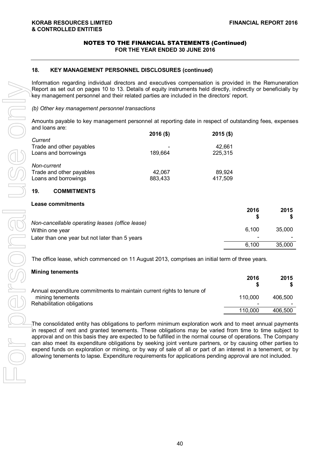## **18. KEY MANAGEMENT PERSONNEL DISCLOSURES (continued)**

Information regarding individual directors and executives compensation is provided in the Remuneration Report as set out on pages 10 to 13. Details of equity instruments held directly, indirectly or beneficially by key management personnel and their related parties are included in the directors' report.

## *(b) Other key management personnel transactions*

Amounts payable to key management personnel at reporting date in respect of outstanding fees, expenses and loans are:

|                          | $2016($ \$) | $2015($ \$) |
|--------------------------|-------------|-------------|
| Current                  |             |             |
| Trade and other payables |             | 42,661      |
| Loans and borrowings     | 189,664     | 225,315     |
| Non-current              |             |             |
| Trade and other payables | 42,067      | 89,924      |
| Loans and borrowings     | 883,433     | 417,509     |
|                          |             |             |

## **19. COMMITMENTS**

## **Lease commitments**

|                                                                    | 2016  | 2015   |
|--------------------------------------------------------------------|-------|--------|
| Non-cancellable operating leases (office lease)<br>Within one year | 6.100 | 35,000 |
| Later than one year but not later than 5 years                     | -     |        |
|                                                                    | 6.100 | 35,000 |

The office lease, which commenced on 11 August 2013, comprises an initial term of three years.

#### **Mining tenements 2016 2015 \$ \$** Annual expenditure commitments to maintain current rights to tenure of mining tenements 110,000 406,500 Rehabilitation obligations 110,000 406,500

The consolidated entity has obligations to perform minimum exploration work and to meet annual payments in respect of rent and granted tenements. These obligations may be varied from time to time subject to approval and on this basis they are expected to be fulfilled in the normal course of operations. The Company can also meet its expenditure obligations by seeking joint venture partners, or by causing other parties to expend funds on exploration or mining, or by way of sale of all or part of an interest in a tenement, or by allowing tenements to lapse. Expenditure requirements for applications pending approval are not included.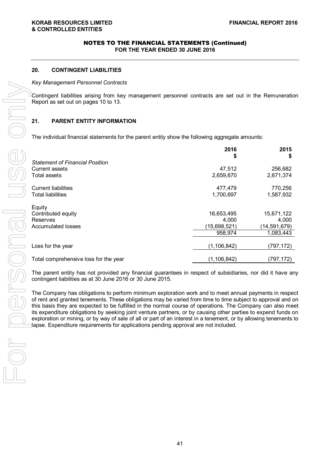## **20. CONTINGENT LIABILITIES**

#### *Key Management Personnel Contracts*

## **21. PARENT ENTITY INFORMATION**

| Key Management Personnel Contracts                                                                                                                                                                                                                                                                                                                                                                                                                                                                                                                                                                                                                          |                         |                           |
|-------------------------------------------------------------------------------------------------------------------------------------------------------------------------------------------------------------------------------------------------------------------------------------------------------------------------------------------------------------------------------------------------------------------------------------------------------------------------------------------------------------------------------------------------------------------------------------------------------------------------------------------------------------|-------------------------|---------------------------|
| Contingent liabilities arising from key management personnel contracts are set out in the Remuneration<br>Report as set out on pages 10 to 13.                                                                                                                                                                                                                                                                                                                                                                                                                                                                                                              |                         |                           |
| 21.<br>PARENT ENTITY INFORMATION                                                                                                                                                                                                                                                                                                                                                                                                                                                                                                                                                                                                                            |                         |                           |
| The individual financial statements for the parent entity show the following aggregate amounts:                                                                                                                                                                                                                                                                                                                                                                                                                                                                                                                                                             |                         |                           |
|                                                                                                                                                                                                                                                                                                                                                                                                                                                                                                                                                                                                                                                             | 2016<br>\$              | 2015<br>S                 |
| <b>Statement of Financial Position</b>                                                                                                                                                                                                                                                                                                                                                                                                                                                                                                                                                                                                                      |                         |                           |
| <b>Current assets</b><br><b>Total assets</b>                                                                                                                                                                                                                                                                                                                                                                                                                                                                                                                                                                                                                | 47,512<br>2,659,670     | 256,682<br>2,671,374      |
|                                                                                                                                                                                                                                                                                                                                                                                                                                                                                                                                                                                                                                                             |                         |                           |
| <b>Current liabilities</b>                                                                                                                                                                                                                                                                                                                                                                                                                                                                                                                                                                                                                                  | 477,479                 | 770,256                   |
| <b>Total liabilities</b>                                                                                                                                                                                                                                                                                                                                                                                                                                                                                                                                                                                                                                    | 1,700,697               | 1,587,932                 |
| Equity                                                                                                                                                                                                                                                                                                                                                                                                                                                                                                                                                                                                                                                      |                         |                           |
| Contributed equity                                                                                                                                                                                                                                                                                                                                                                                                                                                                                                                                                                                                                                          | 16,653,495              | 15,671,122                |
| Reserves                                                                                                                                                                                                                                                                                                                                                                                                                                                                                                                                                                                                                                                    | 4,000                   | 4,000                     |
| <b>Accumulated losses</b>                                                                                                                                                                                                                                                                                                                                                                                                                                                                                                                                                                                                                                   | (15,698,521)<br>958,974 | (14,591,679)<br>1,083,443 |
|                                                                                                                                                                                                                                                                                                                                                                                                                                                                                                                                                                                                                                                             |                         |                           |
| Loss for the year                                                                                                                                                                                                                                                                                                                                                                                                                                                                                                                                                                                                                                           | (1, 106, 842)           | (797, 172)                |
| Total comprehensive loss for the year                                                                                                                                                                                                                                                                                                                                                                                                                                                                                                                                                                                                                       | (1, 106, 842)           | (797, 172)                |
| The parent entity has not provided any financial guarantees in respect of subsidiaries, nor did it have an<br>contingent liabilities as at 30 June 2016 or 30 June 2015.                                                                                                                                                                                                                                                                                                                                                                                                                                                                                    |                         |                           |
| The Company has obligations to perform minimum exploration work and to meet annual payments in respee<br>of rent and granted tenements. These obligations may be varied from time to time subject to approval and o<br>this basis they are expected to be fulfilled in the normal course of operations. The Company can also mee<br>its expenditure obligations by seeking joint venture partners, or by causing other parties to expend funds o<br>exploration or mining, or by way of sale of all or part of an interest in a tenement, or by allowing tenements t<br>lapse. Expenditure requirements for applications pending approval are not included. |                         |                           |
|                                                                                                                                                                                                                                                                                                                                                                                                                                                                                                                                                                                                                                                             |                         |                           |
|                                                                                                                                                                                                                                                                                                                                                                                                                                                                                                                                                                                                                                                             |                         |                           |
|                                                                                                                                                                                                                                                                                                                                                                                                                                                                                                                                                                                                                                                             |                         |                           |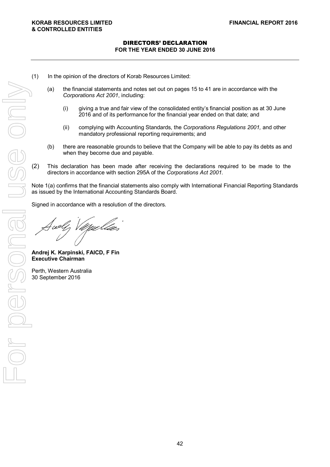## DIRECTORS' DECLARATION **FOR THE YEAR ENDED 30 JUNE 2016**

- (1) In the opinion of the directors of Korab Resources Limited:
	- (a) the financial statements and notes set out on pages 15 to 41 are in accordance with the *Corporations Act 2001*, including:
		- (i) giving a true and fair view of the consolidated entity's financial position as at 30 June 2016 and of its performance for the financial year ended on that date; and
		- (ii) complying with Accounting Standards, the *Corporations Regulations 2001,* and other mandatory professional reporting requirements; and
	- (b) there are reasonable grounds to believe that the Company will be able to pay its debts as and when they become due and payable.
- (2) This declaration has been made after receiving the declarations required to be made to the directors in accordance with section 295A of the *Corporations Act 2001.*

Note 1(a) confirms that the financial statements also comply with International Financial Reporting Standards as issued by the International Accounting Standards Board.

Signed in accordance with a resolution of the directors.

 $\sim$ **Andrej K. Karpinski, FAICD, F Fin Executive Chairman** 

Perth, Western Australia<br>30 September 2016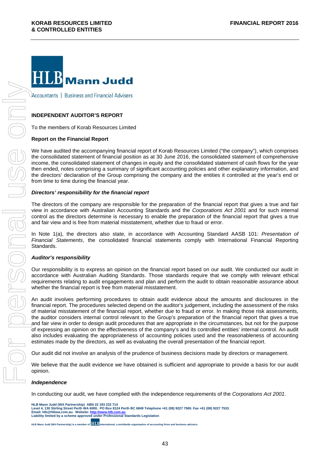

### **INDEPENDENT AUDITOR'S REPORT**

To the members of Korab Resources Limited

#### **Report on the Financial Report**

We have audited the accompanying financial report of Korab Resources Limited ("the company"), which comprises the consolidated statement of financial position as at 30 June 2016, the consolidated statement of comprehensive income, the consolidated statement of changes in equity and the consolidated statement of cash flows for the year then ended, notes comprising a summary of significant accounting policies and other explanatory information, and the directors' declaration of the Group comprising the company and the entities it controlled at the year's end or from time to time during the financial year.

#### *Directors' responsibility for the financial report*

The directors of the company are responsible for the preparation of the financial report that gives a true and fair view in accordance with Australian Accounting Standards and the *Corporations Act 2001* and for such internal control as the directors determine is necessary to enable the preparation of the financial report that gives a true and fair view and is free from material misstatement, whether due to fraud or error.

In Note 1(a), the directors also state, in accordance with Accounting Standard AASB 101: *Presentation of Financial Statements*, the consolidated financial statements comply with International Financial Reporting Standards.

#### *Auditor's responsibility*

Our responsibility is to express an opinion on the financial report based on our audit. We conducted our audit in accordance with Australian Auditing Standards. Those standards require that we comply with relevant ethical requirements relating to audit engagements and plan and perform the audit to obtain reasonable assurance about whether the financial report is free from material misstatement.

An audit involves performing procedures to obtain audit evidence about the amounts and disclosures in the financial report. The procedures selected depend on the auditor's judgement, including the assessment of the risks of material misstatement of the financial report, whether due to fraud or error. In making those risk assessments, the auditor considers internal control relevant to the Group's preparation of the financial report that gives a true and fair view in order to design audit procedures that are appropriate in the circumstances, but not for the purpose of expressing an opinion on the effectiveness of the company's and its controlled entities' internal control. An audit also includes evaluating the appropriateness of accounting policies used and the reasonableness of accounting estimates made by the directors, as well as evaluating the overall presentation of the financial report.

Our audit did not involve an analysis of the prudence of business decisions made by directors or management.

We believe that the audit evidence we have obtained is sufficient and appropriate to provide a basis for our audit opinion.

#### *Independence*

In conducting our audit, we have complied with the independence requirements of the *Corporations Act 2001*.

HLB Mann Judd (WA Partnership) ABN 22 193 232 714<br>Level 4, 130 Stirling Street Perth WA 6000. PO Box 8124 Perth BC 6849 Telephone +61 (08) 9227 7500. Fax +61 (08) 9227 7533.<br>Email: hIb@hlbwa.com.au. Website: <u>http://www</u>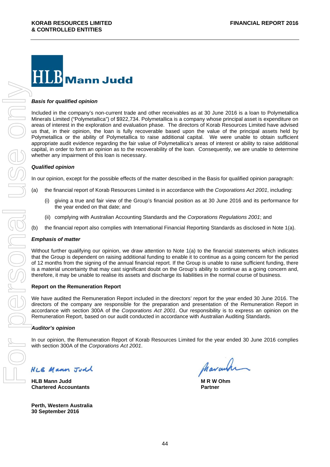

#### *Basis for qualified opinion*

Included in the company's non-current trade and other receivables as at 30 June 2016 is a loan to Polymetallica Minerals Limited ("Polymetallica") of \$922,734. Polymetallica is a company whose principal asset is expenditure on areas of interest in the exploration and evaluation phase. The directors of Korab Resources Limited have advised us that, in their opinion, the loan is fully recoverable based upon the value of the principal assets held by Polymetallica or the ability of Polymetallica to raise additional capital. We were unable to obtain sufficient appropriate audit evidence regarding the fair value of Polymetallica's areas of interest or ability to raise additional capital, in order to form an opinion as to the recoverability of the loan. Consequently, we are unable to determine whether any impairment of this loan is necessary.

#### *Qualified opinion*

In our opinion, except for the possible effects of the matter described in the Basis for qualified opinion paragraph:

- (a) the financial report of Korab Resources Limited is in accordance with the *Corporations Act 2001*, including:
	- (i) giving a true and fair view of the Group's financial position as at 30 June 2016 and its performance for the year ended on that date; and
	- (ii) complying with Australian Accounting Standards and the *Corporations Regulations 2001*; and
- (b) the financial report also complies with International Financial Reporting Standards as disclosed in Note 1(a).

#### *Emphasis of matter*

Without further qualifying our opinion, we draw attention to Note 1(a) to the financial statements which indicates that the Group is dependent on raising additional funding to enable it to continue as a going concern for the period of 12 months from the signing of the annual financial report. If the Group is unable to raise sufficient funding, there is a material uncertainty that may cast significant doubt on the Group's ability to continue as a going concern and, therefore, it may be unable to realise its assets and discharge its liabilities in the normal course of business.

#### **Report on the Remuneration Report**

We have audited the Remuneration Report included in the directors' report for the year ended 30 June 2016. The directors of the company are responsible for the preparation and presentation of the Remuneration Report in accordance with section 300A of the *Corporations Act 2001*. Our responsibility is to express an opinion on the Remuneration Report, based on our audit conducted in accordance with Australian Auditing Standards.

#### *Auditor's opinion*

In our opinion, the Remuneration Report of Korab Resources Limited for the year ended 30 June 2016 complies with section 300A of the *Corporations Act 2001*.

HLB Mann Judl

**HLB Mann Judd Chartered Accountants**

**Perth, Western Australia 30 September 2016**

Mavarin

**M R W Ohm Partner**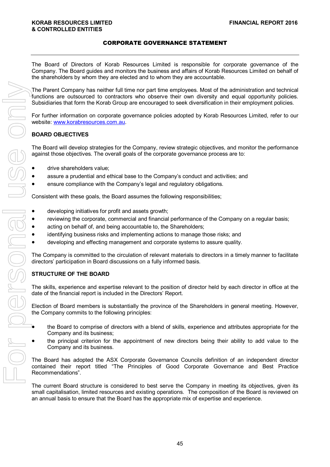## CORPORATE GOVERNANCE STATEMENT

The Board of Directors of Korab Resources Limited is responsible for corporate governance of the Company. The Board guides and monitors the business and affairs of Korab Resources Limited on behalf of the shareholders by whom they are elected and to whom they are accountable.

The Parent Company has neither full time nor part time employees. Most of the administration and technical functions are outsourced to contractors who observe their own diversity and equal opportunity policies. Subsidiaries that form the Korab Group are encouraged to seek diversification in their employment policies.

For further information on corporate governance policies adopted by Korab Resources Limited, refer to our website: www.korabresources.com.au.

## **BOARD OBJECTIVES**

 The Board will develop strategies for the Company, review strategic objectives, and monitor the performance against those objectives. The overall goals of the corporate governance process are to:

- drive shareholders value;
- assure a prudential and ethical base to the Company's conduct and activities; and
- ensure compliance with the Company's legal and regulatory obligations.

Consistent with these goals, the Board assumes the following responsibilities;

- developing initiatives for profit and assets growth;
- reviewing the corporate, commercial and financial performance of the Company on a regular basis;
- acting on behalf of, and being accountable to, the Shareholders;
- identifying business risks and implementing actions to manage those risks; and
- developing and effecting management and corporate systems to assure quality.

 The Company is committed to the circulation of relevant materials to directors in a timely manner to facilitate directors' participation in Board discussions on a fully informed basis.

## **STRUCTURE OF THE BOARD**

The skills, experience and expertise relevant to the position of director held by each director in office at the date of the financial report is included in the Directors' Report.

Election of Board members is substantially the province of the Shareholders in general meeting. However, the Company commits to the following principles:

- the Board to comprise of directors with a blend of skills, experience and attributes appropriate for the Company and its business;
- the principal criterion for the appointment of new directors being their ability to add value to the Company and its business.

 The Board has adopted the ASX Corporate Governance Councils definition of an independent director contained their report titled "The Principles of Good Corporate Governance and Best Practice Recommendations".

 The current Board structure is considered to best serve the Company in meeting its objectives, given its small capitalisation, limited resources and existing operations. The composition of the Board is reviewed on an annual basis to ensure that the Board has the appropriate mix of expertise and experience.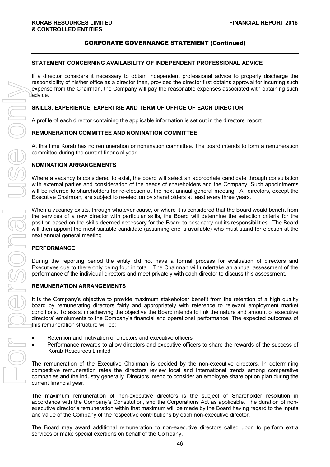## CORPORATE GOVERNANCE STATEMENT (Continued)

### **STATEMENT CONCERNING AVAILABILITY OF INDEPENDENT PROFESSIONAL ADVICE**

If a director considers it necessary to obtain independent professional advice to properly discharge the responsibility of his/her office as a director then, provided the director first obtains approval for incurring such expense from the Chairman, the Company will pay the reasonable expenses associated with obtaining such advice.

## **SKILLS, EXPERIENCE, EXPERTISE AND TERM OF OFFICE OF EACH DIRECTOR**

A profile of each director containing the applicable information is set out in the directors' report.

### **REMUNERATION COMMITTEE AND NOMINATION COMMITTEE**

At this time Korab has no remuneration or nomination committee. The board intends to form a remuneration committee during the current financial year.

### **NOMINATION ARRANGEMENTS**

Where a vacancy is considered to exist, the board will select an appropriate candidate through consultation with external parties and consideration of the needs of shareholders and the Company. Such appointments will be referred to shareholders for re-election at the next annual general meeting. All directors, except the Executive Chairman, are subject to re-election by shareholders at least every three years.

When a vacancy exists, through whatever cause, or where it is considered that the Board would benefit from the services of a new director with particular skills, the Board will determine the selection criteria for the position based on the skills deemed necessary for the Board to best carry out its responsibilities. The Board will then appoint the most suitable candidate (assuming one is available) who must stand for election at the next annual general meeting.

#### **PERFORMANCE**

During the reporting period the entity did not have a formal process for evaluation of directors and Executives due to there only being four in total. The Chairman will undertake an annual assessment of the performance of the individual directors and meet privately with each director to discuss this assessment.

#### **REMUNERATION ARRANGEMENTS**

It is the Company's objective to provide maximum stakeholder benefit from the retention of a high quality board by remunerating directors fairly and appropriately with reference to relevant employment market conditions. To assist in achieving the objective the Board intends to link the nature and amount of executive directors' emoluments to the Company's financial and operational performance. The expected outcomes of this remuneration structure will be:

- Retention and motivation of directors and executive officers
- Performance rewards to allow directors and executive officers to share the rewards of the success of Korab Resources Limited

The remuneration of the Executive Chairman is decided by the non-executive directors. In determining competitive remuneration rates the directors review local and international trends among comparative companies and the industry generally. Directors intend to consider an employee share option plan during the current financial year.

The maximum remuneration of non-executive directors is the subject of Shareholder resolution in accordance with the Company's Constitution, and the Corporations Act as applicable. The duration of nonexecutive director's remuneration within that maximum will be made by the Board having regard to the inputs and value of the Company of the respective contributions by each non-executive director.

The Board may award additional remuneration to non-executive directors called upon to perform extra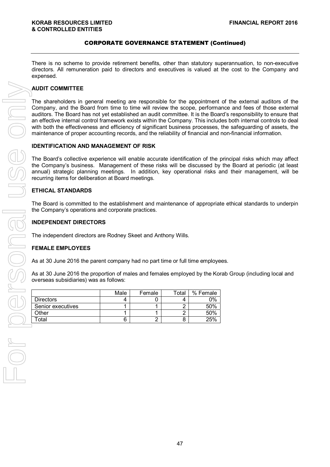## CORPORATE GOVERNANCE STATEMENT (Continued)

There is no scheme to provide retirement benefits, other than statutory superannuation, to non-executive directors. All remuneration paid to directors and executives is valued at the cost to the Company and expensed.

## **AUDIT COMMITTEE**

The shareholders in general meeting are responsible for the appointment of the external auditors of the Company, and the Board from time to time will review the scope, performance and fees of those external auditors. The Board has not yet established an audit committee. It is the Board's responsibility to ensure that an effective internal control framework exists within the Company. This includes both internal controls to deal with both the effectiveness and efficiency of significant business processes, the safeguarding of assets, the maintenance of proper accounting records, and the reliability of financial and non-financial information.

#### **IDENTIFICATION AND MANAGEMENT OF RISK**

The Board's collective experience will enable accurate identification of the principal risks which may affect the Company's business. Management of these risks will be discussed by the Board at periodic (at least annual) strategic planning meetings. In addition, key operational risks and their management, will be recurring items for deliberation at Board meetings.

### **ETHICAL STANDARDS**

The Board is committed to the establishment and maintenance of appropriate ethical standards to underpin the Company's operations and corporate practices.

### **INDEPENDENT DIRECTORS**

The independent directors are Rodney Skeet and Anthony Wills.

#### **FEMALE EMPLOYEES**

As at 30 June 2016 the parent company had no part time or full time employees.

As at 30 June 2016 the proportion of males and females employed by the Korab Group (including local and overseas subsidiaries) was as follows:

|                   | Male | Female | Total | % Female |
|-------------------|------|--------|-------|----------|
| <b>Directors</b>  |      |        |       | 0%       |
| Senior executives |      |        | ┍     | 50%      |
| Other             |      |        |       | 50%      |
| <sup>-</sup> otal |      |        |       | 25%      |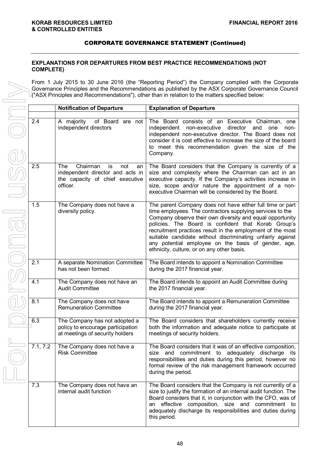## CORPORATE GOVERNANCE STATEMENT (Continued)

## **EXPLANATIONS FOR DEPARTURES FROM BEST PRACTICE RECOMMENDATIONS (NOT COMPLETE)**

From 1 July 2015 to 30 June 2016 (the "Reporting Period") the Company complied with the Corporate Governance Principles and the Recommendations as published by the ASX Corporate Governance Council  $\mathbb{L}$  ASX Principles and Recommendations"), other than in relation to the matters specified below:

|                  | <b>Notification of Departure</b>                                                                                      | <b>Explanation of Departure</b>                                                                                                                                                                                                                                                                                                                                                                                                                                             |
|------------------|-----------------------------------------------------------------------------------------------------------------------|-----------------------------------------------------------------------------------------------------------------------------------------------------------------------------------------------------------------------------------------------------------------------------------------------------------------------------------------------------------------------------------------------------------------------------------------------------------------------------|
| $\overline{2.4}$ | A majority<br>of Board are not<br>independent directors                                                               | The Board consists of an Executive Chairman, one<br>independent non-executive<br>director and<br>one<br>non-<br>independent non-executive director. The Board does not<br>consider it is cost effective to increase the size of the board<br>to meet this recommendation given the size of the<br>Company.                                                                                                                                                                  |
| 2.5              | Chairman<br>The<br>is<br>not<br>an<br>independent director and acts in<br>the capacity of chief executive<br>officer. | The Board considers that the Company is currently of a<br>size and complexity where the Chairman can act in an<br>executive capacity. If the Company's activities increase in<br>size, scope and/or nature the appointment of a non-<br>executive Chairman will be considered by the Board.                                                                                                                                                                                 |
| 1.5              | The Company does not have a<br>diversity policy.                                                                      | The parent Company does not have either full time or part<br>time employees. The contractors supplying services to the<br>Company observe their own diversity and equal opportunity<br>policies. The Board is confident that Korab Group's<br>recruitment practices result in the employment of the most<br>suitable candidate without discriminating unfairly against<br>any potential employee on the basis of gender, age,<br>ethnicity, culture, or on any other basis. |
| $\overline{2.1}$ | A separate Nomination Committee<br>has not been formed                                                                | The Board intends to appoint a Nomination Committee<br>during the 2017 financial year.                                                                                                                                                                                                                                                                                                                                                                                      |
| 4.1              | The Company does not have an<br><b>Audit Committee</b>                                                                | The Board intends to appoint an Audit Committee during<br>the 2017 financial year.                                                                                                                                                                                                                                                                                                                                                                                          |
| 8.1              | The Company does not have<br><b>Remuneration Committee</b>                                                            | The Board intends to appoint a Remuneration Committee<br>during the 2017 financial year.                                                                                                                                                                                                                                                                                                                                                                                    |
| 6.3              | The Company has not adopted a<br>policy to encourage participation<br>at meetings of security holders                 | The Board considers that shareholders currently receive<br>both the information and adequate notice to participate at<br>meetings of security holders.                                                                                                                                                                                                                                                                                                                      |
| 7.1, 7.2         | The Company does not have a<br><b>Risk Committee</b>                                                                  | The Board considers that it was of an effective composition,<br>size and commitment to adequately discharge its<br>responsibilities and duties during this period, however no<br>formal review of the risk management framework occurred<br>during the period.                                                                                                                                                                                                              |
| 7.3              | The Company does not have an<br>internal audit function                                                               | The Board considers that the Company is not currently of a<br>size to justify the formation of an internal audit function. The<br>Board considers that it, in conjunction with the CFO, was of<br>an effective composition, size and commitment to<br>adequately discharge its responsibilities and duties during<br>this period.                                                                                                                                           |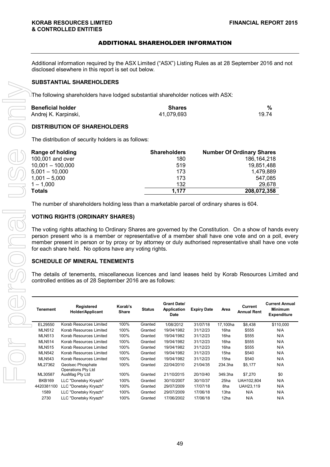## ADDITIONAL SHAREHOLDER INFORMATION

Additional information required by the ASX Limited ("ASX") Listing Rules as at 28 September 2016 and not disclosed elsewhere in this report is set out below.

## **SUBSTANTIAL SHAREHOLDERS**

 $^{\text{-}}$ The following shareholders have lodged substantial shareholder notices with ASX:

| <b>Beneficial holder</b> | <b>Shares</b> |       |
|--------------------------|---------------|-------|
| Andrej K. Karpinski,     | 41.079.693    | 19.74 |

## **DISTRIBUTION OF SHAREHOLDERS**

The distribution of security holders is as follows:

| Range of holding   | <b>Shareholders</b> | <b>Number Of Ordinary Shares</b> |
|--------------------|---------------------|----------------------------------|
| 100,001 and over   | 180                 | 186.164.218                      |
| $10,001 - 100,000$ | 519                 | 19.851.488                       |
| $5.001 - 10.000$   | 173                 | 1.479.889                        |
| $1,001 - 5,000$    | 173                 | 547.085                          |
| $1 - 1.000$        | 132                 | 29.678                           |
| <b>Totals</b>      | 1.177               | 208,072,358                      |

The number of shareholders holding less than a marketable parcel of ordinary shares is 604.

## **VOTING RIGHTS (ORDINARY SHARES)**

The voting rights attaching to Ordinary Shares are governed by the Constitution. On a show of hands every person present who is a member or representative of a member shall have one vote and on a poll, every member present in person or by proxy or by attorney or duly authorised representative shall have one vote for each share held. No options have any voting rights.

## **SCHEDULE OF MINERAL TENEMENTS**

The details of tenements, miscellaneous licences and land leases held by Korab Resources Limited and controlled entities as of 28 September 2016 are as follows:

| <b>Tenement</b> | Registered<br><b>Holder/Applicant</b>   | Korab's<br><b>Share</b> | <b>Status</b> | <b>Grant Date/</b><br>Application<br><b>Date</b> | <b>Expiry Date</b> | Area     | Current<br><b>Annual Rent</b> | <b>Current Annual</b><br><b>Minimum</b><br><b>Expenditure</b> |
|-----------------|-----------------------------------------|-------------------------|---------------|--------------------------------------------------|--------------------|----------|-------------------------------|---------------------------------------------------------------|
| EL29550         | Korab Resources Limited                 | 100%                    | Granted       | 1/08/2012                                        | 31/07/18           | 17.100ha | \$8,438                       | \$110,000                                                     |
| <b>MLN512</b>   | Korab Resources Limited                 | 100%                    | Granted       | 19/04/1982                                       | 31/12/23           | 16ha     | \$555                         | N/A                                                           |
| <b>MLN513</b>   | Korab Resources Limited                 | 100%                    | Granted       | 19/04/1982                                       | 31/12/23           | 16ha     | \$555                         | N/A                                                           |
| <b>MLN514</b>   | Korab Resources Limited                 | 100%                    | Granted       | 19/04/1982                                       | 31/12/23           | 16ha     | \$555                         | N/A                                                           |
| <b>MLN515</b>   | Korab Resources Limited                 | 100%                    | Granted       | 19/04/1982                                       | 31/12/23           | 16ha     | \$555                         | N/A                                                           |
| <b>MLN542</b>   | Korab Resources Limited                 | 100%                    | Granted       | 19/04/1982                                       | 31/12/23           | 15ha     | \$540                         | N/A                                                           |
| <b>MLN543</b>   | Korab Resources Limited                 | 100%                    | Granted       | 19/04/1982                                       | 31/12/23           | 15ha     | \$540                         | N/A                                                           |
| ML27362         | Geolsec Phosphate<br>Operations Pty Ltd | 100%                    | Granted       | 22/04/2010                                       | 21/04/35           | 234.3ha  | \$5,177                       | N/A                                                           |
| ML30587         | AusMag Pty Ltd                          | 100%                    | Granted       | 21/10/2015                                       | 20/10/40           | 349.3ha  | \$7,270                       | \$0                                                           |
| <b>BKB169</b>   | LLC "Donetsky Kryazh"                   | 100%                    | Granted       | 30/10/2007                                       | 30/10/37           | 25ha     | UAH102,804                    | N/A                                                           |
| 4420381100      | LLC "Donetsky Kryazh"                   | 100%                    | Granted       | 29/07/2009                                       | 17/07/18           | 8ha      | UAH23,119                     | N/A                                                           |
| 1589            | LLC "Donetsky Kryazh"                   | 100%                    | Granted       | 29/07/2009                                       | 17/06/18           | 13ha     | N/A                           | N/A                                                           |
| 2730            | LLC "Donetsky Kryazh"                   | 100%                    | Granted       | 17/06/2002                                       | 17/06/18           | 12ha     | N/A                           | N/A                                                           |